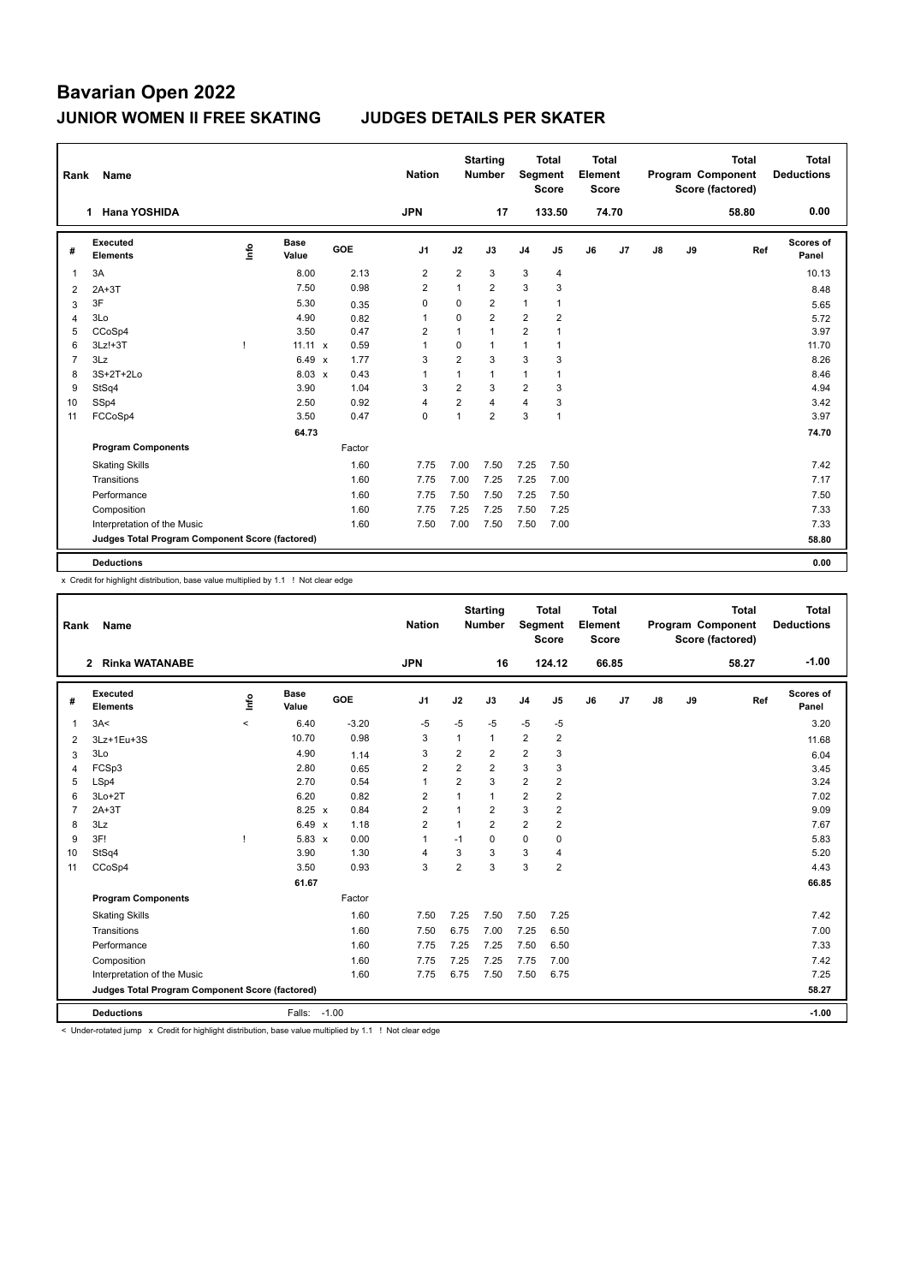| Rank | Name                                            |      |                      |        | <b>Nation</b>  |                | <b>Starting</b><br><b>Number</b> | Segment        | <b>Total</b><br><b>Score</b> | <b>Total</b><br>Element<br>Score |       |    |    | <b>Total</b><br>Program Component<br>Score (factored) | <b>Total</b><br><b>Deductions</b> |
|------|-------------------------------------------------|------|----------------------|--------|----------------|----------------|----------------------------------|----------------|------------------------------|----------------------------------|-------|----|----|-------------------------------------------------------|-----------------------------------|
|      | <b>Hana YOSHIDA</b><br>1.                       |      |                      |        | <b>JPN</b>     |                | 17                               |                | 133.50                       |                                  | 74.70 |    |    | 58.80                                                 | 0.00                              |
| #    | <b>Executed</b><br><b>Elements</b>              | ١nf٥ | <b>Base</b><br>Value | GOE    | J <sub>1</sub> | J2             | J3                               | J <sub>4</sub> | J5                           | J6                               | J7    | J8 | J9 | Ref                                                   | <b>Scores of</b><br>Panel         |
| 1    | 3A                                              |      | 8.00                 | 2.13   | $\overline{2}$ | $\overline{2}$ | 3                                | 3              | $\overline{4}$               |                                  |       |    |    |                                                       | 10.13                             |
| 2    | $2A+3T$                                         |      | 7.50                 | 0.98   | $\overline{2}$ | $\mathbf{1}$   | $\overline{2}$                   | 3              | 3                            |                                  |       |    |    |                                                       | 8.48                              |
| 3    | 3F                                              |      | 5.30                 | 0.35   | 0              | 0              | $\overline{2}$                   | $\mathbf{1}$   | 1                            |                                  |       |    |    |                                                       | 5.65                              |
| 4    | 3Lo                                             |      | 4.90                 | 0.82   | $\overline{1}$ | $\Omega$       | $\overline{2}$                   | $\overline{2}$ | 2                            |                                  |       |    |    |                                                       | 5.72                              |
| 5    | CCoSp4                                          |      | 3.50                 | 0.47   | 2              | $\mathbf{1}$   | $\mathbf{1}$                     | $\overline{2}$ |                              |                                  |       |    |    |                                                       | 3.97                              |
| 6    | $3Lz!+3T$                                       | -1   | $11.11 \times$       | 0.59   | -1             | $\Omega$       | 1                                | 1              | 1                            |                                  |       |    |    |                                                       | 11.70                             |
| 7    | 3Lz                                             |      | $6.49 \times$        | 1.77   | 3              | $\overline{2}$ | 3                                | 3              | 3                            |                                  |       |    |    |                                                       | 8.26                              |
| 8    | 3S+2T+2Lo                                       |      | $8.03 \times$        | 0.43   | 1              | $\mathbf{1}$   | $\mathbf{1}$                     | 1              | 1                            |                                  |       |    |    |                                                       | 8.46                              |
| 9    | StSq4                                           |      | 3.90                 | 1.04   | 3              | $\overline{2}$ | 3                                | $\overline{2}$ | 3                            |                                  |       |    |    |                                                       | 4.94                              |
| 10   | SSp4                                            |      | 2.50                 | 0.92   | 4              | $\overline{2}$ | 4                                | 4              | 3                            |                                  |       |    |    |                                                       | 3.42                              |
| 11   | FCCoSp4                                         |      | 3.50                 | 0.47   | $\mathbf 0$    | 1              | $\overline{2}$                   | 3              | $\mathbf{1}$                 |                                  |       |    |    |                                                       | 3.97                              |
|      |                                                 |      | 64.73                |        |                |                |                                  |                |                              |                                  |       |    |    |                                                       | 74.70                             |
|      | <b>Program Components</b>                       |      |                      | Factor |                |                |                                  |                |                              |                                  |       |    |    |                                                       |                                   |
|      | <b>Skating Skills</b>                           |      |                      | 1.60   | 7.75           | 7.00           | 7.50                             | 7.25           | 7.50                         |                                  |       |    |    |                                                       | 7.42                              |
|      | Transitions                                     |      |                      | 1.60   | 7.75           | 7.00           | 7.25                             | 7.25           | 7.00                         |                                  |       |    |    |                                                       | 7.17                              |
|      | Performance                                     |      |                      | 1.60   | 7.75           | 7.50           | 7.50                             | 7.25           | 7.50                         |                                  |       |    |    |                                                       | 7.50                              |
|      | Composition                                     |      |                      | 1.60   | 7.75           | 7.25           | 7.25                             | 7.50           | 7.25                         |                                  |       |    |    |                                                       | 7.33                              |
|      | Interpretation of the Music                     |      |                      | 1.60   | 7.50           | 7.00           | 7.50                             | 7.50           | 7.00                         |                                  |       |    |    |                                                       | 7.33                              |
|      | Judges Total Program Component Score (factored) |      |                      |        |                |                |                                  |                |                              |                                  |       |    |    |                                                       | 58.80                             |
|      | <b>Deductions</b>                               |      |                      |        |                |                |                                  |                |                              |                                  |       |    |    |                                                       | 0.00                              |

x Credit for highlight distribution, base value multiplied by 1.1 ! Not clear edge

| Rank           | Name                                            |                          |                      |                                   | <b>Nation</b>  |                | <b>Starting</b><br><b>Number</b> | Segment        | Total<br><b>Score</b> | <b>Total</b><br>Element<br><b>Score</b> |       |               |    | <b>Total</b><br>Program Component<br>Score (factored) | <b>Total</b><br><b>Deductions</b> |
|----------------|-------------------------------------------------|--------------------------|----------------------|-----------------------------------|----------------|----------------|----------------------------------|----------------|-----------------------|-----------------------------------------|-------|---------------|----|-------------------------------------------------------|-----------------------------------|
|                | <b>Rinka WATANABE</b><br>$\mathbf{2}$           |                          |                      |                                   | <b>JPN</b>     |                | 16                               |                | 124.12                |                                         | 66.85 |               |    | 58.27                                                 | $-1.00$                           |
| #              | Executed<br><b>Elements</b>                     | Life                     | <b>Base</b><br>Value | GOE                               | J <sub>1</sub> | J2             | J3                               | J <sub>4</sub> | J5                    | J6                                      | J7    | $\mathsf{J}8$ | J9 | Ref                                                   | Scores of<br>Panel                |
| 1              | 3A<                                             | $\overline{\phantom{a}}$ | 6.40                 | $-3.20$                           | -5             | $-5$           | $-5$                             | $-5$           | $-5$                  |                                         |       |               |    |                                                       | 3.20                              |
| 2              | 3Lz+1Eu+3S                                      |                          | 10.70                | 0.98                              | 3              | 1              | $\mathbf{1}$                     | $\overline{2}$ | $\overline{2}$        |                                         |       |               |    |                                                       | 11.68                             |
| 3              | 3Lo                                             |                          | 4.90                 | 1.14                              | 3              | $\overline{2}$ | $\overline{2}$                   | $\overline{2}$ | 3                     |                                         |       |               |    |                                                       | 6.04                              |
| 4              | FCSp3                                           |                          | 2.80                 | 0.65                              | $\overline{2}$ | 2              | $\overline{2}$                   | 3              | 3                     |                                         |       |               |    |                                                       | 3.45                              |
| 5              | LSp4                                            |                          | 2.70                 | 0.54                              | $\mathbf{1}$   | $\overline{2}$ | 3                                | $\overline{2}$ | $\overline{2}$        |                                         |       |               |    |                                                       | 3.24                              |
| 6              | $3Lo+2T$                                        |                          | 6.20                 | 0.82                              | $\overline{2}$ | $\overline{1}$ | $\mathbf{1}$                     | $\overline{2}$ | $\overline{2}$        |                                         |       |               |    |                                                       | 7.02                              |
| $\overline{7}$ | $2A+3T$                                         |                          | $8.25 \times$        | 0.84                              | $\overline{2}$ | 1              | $\overline{2}$                   | 3              | $\overline{2}$        |                                         |       |               |    |                                                       | 9.09                              |
| 8              | 3Lz                                             |                          | 6.49                 | 1.18<br>$\boldsymbol{\mathsf{x}}$ | $\overline{2}$ | 1              | $\overline{2}$                   | $\overline{2}$ | $\overline{2}$        |                                         |       |               |    |                                                       | 7.67                              |
| 9              | 3F!                                             | ı                        | $5.83 \times$        | 0.00                              | $\mathbf{1}$   | $-1$           | $\Omega$                         | $\mathbf 0$    | 0                     |                                         |       |               |    |                                                       | 5.83                              |
| 10             | StSq4                                           |                          | 3.90                 | 1.30                              | $\overline{4}$ | 3              | 3                                | $\mathbf{3}$   | 4                     |                                         |       |               |    |                                                       | 5.20                              |
| 11             | CCoSp4                                          |                          | 3.50                 | 0.93                              | 3              | $\overline{2}$ | 3                                | 3              | $\overline{2}$        |                                         |       |               |    |                                                       | 4.43                              |
|                |                                                 |                          | 61.67                |                                   |                |                |                                  |                |                       |                                         |       |               |    |                                                       | 66.85                             |
|                | <b>Program Components</b>                       |                          |                      | Factor                            |                |                |                                  |                |                       |                                         |       |               |    |                                                       |                                   |
|                | <b>Skating Skills</b>                           |                          |                      | 1.60                              | 7.50           | 7.25           | 7.50                             | 7.50           | 7.25                  |                                         |       |               |    |                                                       | 7.42                              |
|                | Transitions                                     |                          |                      | 1.60                              | 7.50           | 6.75           | 7.00                             | 7.25           | 6.50                  |                                         |       |               |    |                                                       | 7.00                              |
|                | Performance                                     |                          |                      | 1.60                              | 7.75           | 7.25           | 7.25                             | 7.50           | 6.50                  |                                         |       |               |    |                                                       | 7.33                              |
|                | Composition                                     |                          |                      | 1.60                              | 7.75           | 7.25           | 7.25                             | 7.75           | 7.00                  |                                         |       |               |    |                                                       | 7.42                              |
|                | Interpretation of the Music                     |                          |                      | 1.60                              | 7.75           | 6.75           | 7.50                             | 7.50           | 6.75                  |                                         |       |               |    |                                                       | 7.25                              |
|                | Judges Total Program Component Score (factored) |                          |                      |                                   |                |                |                                  |                |                       |                                         |       |               |    |                                                       | 58.27                             |
|                | <b>Deductions</b>                               |                          | Falls:               | $-1.00$                           |                |                |                                  |                |                       |                                         |       |               |    |                                                       | $-1.00$                           |

< Under-rotated jump x Credit for highlight distribution, base value multiplied by 1.1 ! Not clear edge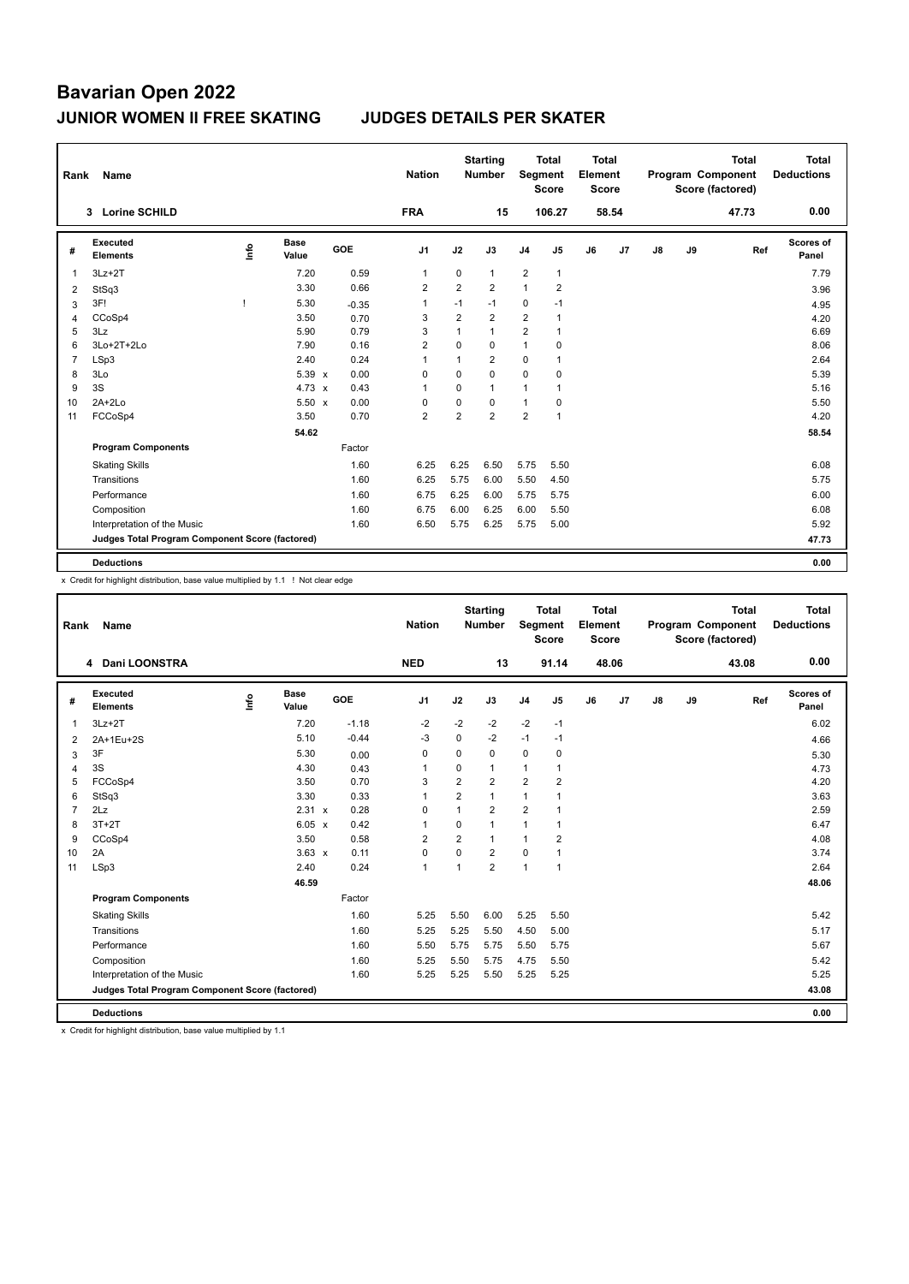| Rank           | Name                                            |   |                      |         | <b>Nation</b>  |                | <b>Starting</b><br><b>Number</b> | Segment        | <b>Total</b><br><b>Score</b> | <b>Total</b><br>Element<br><b>Score</b> |                |    |    | <b>Total</b><br>Program Component<br>Score (factored) | Total<br><b>Deductions</b> |
|----------------|-------------------------------------------------|---|----------------------|---------|----------------|----------------|----------------------------------|----------------|------------------------------|-----------------------------------------|----------------|----|----|-------------------------------------------------------|----------------------------|
|                | <b>Lorine SCHILD</b><br>$3^{\circ}$             |   |                      |         | <b>FRA</b>     |                | 15                               |                | 106.27                       |                                         | 58.54          |    |    | 47.73                                                 | 0.00                       |
| #              | Executed<br><b>Elements</b>                     | ۴ | <b>Base</b><br>Value | GOE     | J <sub>1</sub> | J2             | J3                               | J <sub>4</sub> | J5                           | J6                                      | J <sub>7</sub> | J8 | J9 | Ref                                                   | Scores of<br>Panel         |
| 1              | $3Lz + 2T$                                      |   | 7.20                 | 0.59    | 1              | $\mathbf 0$    | $\mathbf{1}$                     | $\overline{2}$ | $\mathbf{1}$                 |                                         |                |    |    |                                                       | 7.79                       |
| 2              | StSq3                                           |   | 3.30                 | 0.66    | $\overline{2}$ | $\overline{2}$ | $\overline{2}$                   | $\mathbf{1}$   | $\overline{2}$               |                                         |                |    |    |                                                       | 3.96                       |
| 3              | 3F!                                             |   | 5.30                 | $-0.35$ | $\overline{1}$ | $-1$           | $-1$                             | $\mathbf 0$    | $-1$                         |                                         |                |    |    |                                                       | 4.95                       |
| 4              | CCoSp4                                          |   | 3.50                 | 0.70    | 3              | 2              | $\overline{2}$                   | $\overline{2}$ | $\mathbf{1}$                 |                                         |                |    |    |                                                       | 4.20                       |
| 5              | 3Lz                                             |   | 5.90                 | 0.79    | 3              | 1              | $\mathbf{1}$                     | $\overline{2}$ | $\mathbf{1}$                 |                                         |                |    |    |                                                       | 6.69                       |
| 6              | 3Lo+2T+2Lo                                      |   | 7.90                 | 0.16    | $\overline{2}$ | $\Omega$       | $\Omega$                         | $\mathbf{1}$   | 0                            |                                         |                |    |    |                                                       | 8.06                       |
| $\overline{7}$ | LSp3                                            |   | 2.40                 | 0.24    | $\overline{1}$ | 1              | $\overline{2}$                   | $\mathbf 0$    | $\mathbf{1}$                 |                                         |                |    |    |                                                       | 2.64                       |
| 8              | 3Lo                                             |   | 5.39 x               | 0.00    | 0              | $\Omega$       | $\Omega$                         | $\mathbf 0$    | 0                            |                                         |                |    |    |                                                       | 5.39                       |
| 9              | 3S                                              |   | $4.73 \times$        | 0.43    | $\overline{1}$ | $\mathbf 0$    | $\mathbf{1}$                     | $\mathbf{1}$   | $\mathbf{1}$                 |                                         |                |    |    |                                                       | 5.16                       |
| 10             | $2A+2Lo$                                        |   | $5.50 \times$        | 0.00    | $\Omega$       | $\Omega$       | $\Omega$                         | $\mathbf{1}$   | 0                            |                                         |                |    |    |                                                       | 5.50                       |
| 11             | FCCoSp4                                         |   | 3.50                 | 0.70    | $\overline{2}$ | $\overline{2}$ | $\overline{2}$                   | $\overline{2}$ | $\mathbf{1}$                 |                                         |                |    |    |                                                       | 4.20                       |
|                |                                                 |   | 54.62                |         |                |                |                                  |                |                              |                                         |                |    |    |                                                       | 58.54                      |
|                | <b>Program Components</b>                       |   |                      | Factor  |                |                |                                  |                |                              |                                         |                |    |    |                                                       |                            |
|                | <b>Skating Skills</b>                           |   |                      | 1.60    | 6.25           | 6.25           | 6.50                             | 5.75           | 5.50                         |                                         |                |    |    |                                                       | 6.08                       |
|                | Transitions                                     |   |                      | 1.60    | 6.25           | 5.75           | 6.00                             | 5.50           | 4.50                         |                                         |                |    |    |                                                       | 5.75                       |
|                | Performance                                     |   |                      | 1.60    | 6.75           | 6.25           | 6.00                             | 5.75           | 5.75                         |                                         |                |    |    |                                                       | 6.00                       |
|                | Composition                                     |   |                      | 1.60    | 6.75           | 6.00           | 6.25                             | 6.00           | 5.50                         |                                         |                |    |    |                                                       | 6.08                       |
|                | Interpretation of the Music                     |   |                      | 1.60    | 6.50           | 5.75           | 6.25                             | 5.75           | 5.00                         |                                         |                |    |    |                                                       | 5.92                       |
|                | Judges Total Program Component Score (factored) |   |                      |         |                |                |                                  |                |                              |                                         |                |    |    |                                                       | 47.73                      |
|                | <b>Deductions</b>                               |   |                      |         |                |                |                                  |                |                              |                                         |                |    |    |                                                       | 0.00                       |

x Credit for highlight distribution, base value multiplied by 1.1 ! Not clear edge

| Rank           | Name                                            |      |                      |                      | <b>Nation</b>  |                | <b>Starting</b><br><b>Number</b> | Segment        | Total<br><b>Score</b> | <b>Total</b><br>Element<br><b>Score</b> |       |               |    | <b>Total</b><br>Program Component<br>Score (factored) | <b>Total</b><br><b>Deductions</b> |
|----------------|-------------------------------------------------|------|----------------------|----------------------|----------------|----------------|----------------------------------|----------------|-----------------------|-----------------------------------------|-------|---------------|----|-------------------------------------------------------|-----------------------------------|
|                | 4 Dani LOONSTRA                                 |      |                      |                      | <b>NED</b>     |                | 13                               |                | 91.14                 |                                         | 48.06 |               |    | 43.08                                                 | 0.00                              |
| #              | Executed<br><b>Elements</b>                     | lnfo | <b>Base</b><br>Value | GOE                  | J <sub>1</sub> | J2             | J3                               | J <sub>4</sub> | J5                    | J6                                      | J7    | $\mathsf{J}8$ | J9 | Ref                                                   | Scores of<br>Panel                |
| $\mathbf{1}$   | $3Lz + 2T$                                      |      | 7.20                 | $-1.18$              | -2             | $-2$           | $-2$                             | $-2$           | $-1$                  |                                         |       |               |    |                                                       | 6.02                              |
| 2              | 2A+1Eu+2S                                       |      | 5.10                 | $-0.44$              | $-3$           | $\Omega$       | $-2$                             | $-1$           | $-1$                  |                                         |       |               |    |                                                       | 4.66                              |
| 3              | 3F                                              |      | 5.30                 | 0.00                 | 0              | $\Omega$       | 0                                | $\mathbf 0$    | 0                     |                                         |       |               |    |                                                       | 5.30                              |
| 4              | 3S                                              |      | 4.30                 | 0.43                 | 1              | $\Omega$       | 1                                | $\mathbf{1}$   | 1                     |                                         |       |               |    |                                                       | 4.73                              |
| 5              | FCCoSp4                                         |      | 3.50                 | 0.70                 | 3              | $\overline{2}$ | $\overline{2}$                   | $\overline{2}$ | $\overline{2}$        |                                         |       |               |    |                                                       | 4.20                              |
| 6              | StSq3                                           |      | 3.30                 | 0.33                 | $\mathbf{1}$   | $\overline{2}$ | $\mathbf{1}$                     | $\mathbf{1}$   | 1                     |                                         |       |               |    |                                                       | 3.63                              |
| $\overline{7}$ | 2Lz                                             |      | 2.31 x               | 0.28                 | $\Omega$       | 1              | $\overline{2}$                   | $\overline{2}$ |                       |                                         |       |               |    |                                                       | 2.59                              |
| 8              | $3T+2T$                                         |      | 6.05                 | 0.42<br>$\mathbf{x}$ | $\mathbf{1}$   | $\mathbf 0$    | 1                                | $\mathbf{1}$   | 1                     |                                         |       |               |    |                                                       | 6.47                              |
| 9              | CCoSp4                                          |      | 3.50                 | 0.58                 | $\overline{2}$ | $\overline{2}$ | $\mathbf{1}$                     | $\mathbf{1}$   | $\overline{2}$        |                                         |       |               |    |                                                       | 4.08                              |
| 10             | 2A                                              |      | $3.63 \times$        | 0.11                 | $\mathbf 0$    | $\Omega$       | $\overline{2}$                   | $\mathbf 0$    | 1                     |                                         |       |               |    |                                                       | 3.74                              |
| 11             | LSp3                                            |      | 2.40                 | 0.24                 | $\mathbf{1}$   | 1              | $\overline{2}$                   | $\mathbf{1}$   | $\mathbf{1}$          |                                         |       |               |    |                                                       | 2.64                              |
|                |                                                 |      | 46.59                |                      |                |                |                                  |                |                       |                                         |       |               |    |                                                       | 48.06                             |
|                | <b>Program Components</b>                       |      |                      | Factor               |                |                |                                  |                |                       |                                         |       |               |    |                                                       |                                   |
|                | <b>Skating Skills</b>                           |      |                      | 1.60                 | 5.25           | 5.50           | 6.00                             | 5.25           | 5.50                  |                                         |       |               |    |                                                       | 5.42                              |
|                | Transitions                                     |      |                      | 1.60                 | 5.25           | 5.25           | 5.50                             | 4.50           | 5.00                  |                                         |       |               |    |                                                       | 5.17                              |
|                | Performance                                     |      |                      | 1.60                 | 5.50           | 5.75           | 5.75                             | 5.50           | 5.75                  |                                         |       |               |    |                                                       | 5.67                              |
|                | Composition                                     |      |                      | 1.60                 | 5.25           | 5.50           | 5.75                             | 4.75           | 5.50                  |                                         |       |               |    |                                                       | 5.42                              |
|                | Interpretation of the Music                     |      |                      | 1.60                 | 5.25           | 5.25           | 5.50                             | 5.25           | 5.25                  |                                         |       |               |    |                                                       | 5.25                              |
|                | Judges Total Program Component Score (factored) |      |                      |                      |                |                |                                  |                |                       |                                         |       |               |    |                                                       | 43.08                             |
|                | <b>Deductions</b>                               |      |                      |                      |                |                |                                  |                |                       |                                         |       |               |    |                                                       | 0.00                              |

x Credit for highlight distribution, base value multiplied by 1.1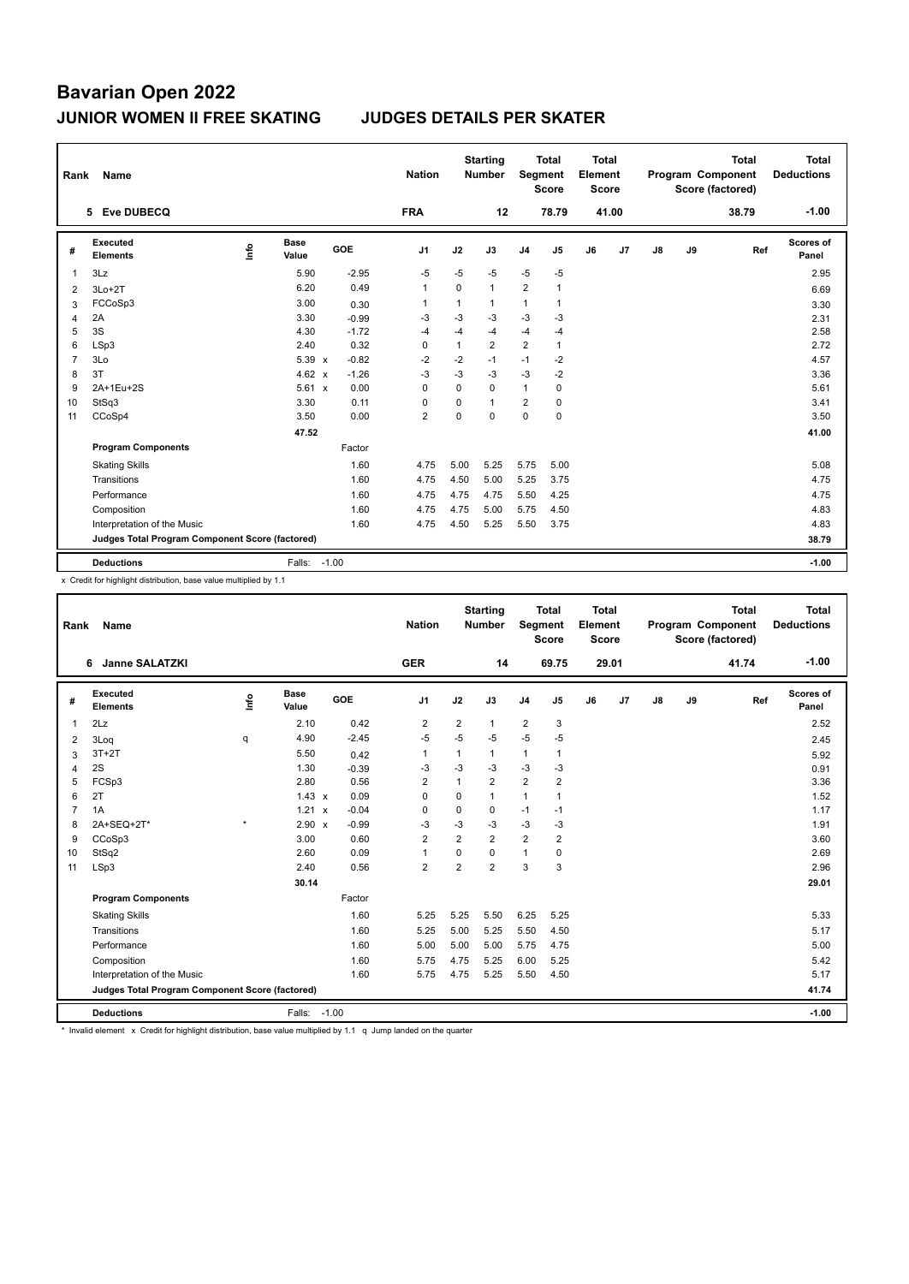| Rank           | Name                                            |      |                      |         |         | <b>Nation</b>  |              | <b>Starting</b><br><b>Number</b> |                | <b>Total</b><br>Segment<br><b>Score</b> | <b>Total</b><br>Element<br>Score |       |    |    | <b>Total</b><br>Program Component<br>Score (factored) | <b>Total</b><br><b>Deductions</b> |
|----------------|-------------------------------------------------|------|----------------------|---------|---------|----------------|--------------|----------------------------------|----------------|-----------------------------------------|----------------------------------|-------|----|----|-------------------------------------------------------|-----------------------------------|
|                | 5 Eve DUBECQ                                    |      |                      |         |         | <b>FRA</b>     |              | 12                               |                | 78.79                                   |                                  | 41.00 |    |    | 38.79                                                 | $-1.00$                           |
| #              | Executed<br><b>Elements</b>                     | ١nf٥ | <b>Base</b><br>Value |         | GOE     | J <sub>1</sub> | J2           | J3                               | J <sub>4</sub> | J5                                      | J6                               | J7    | J8 | J9 | Ref                                                   | <b>Scores of</b><br>Panel         |
| 1              | 3Lz                                             |      | 5.90                 |         | $-2.95$ | $-5$           | $-5$         | $-5$                             | $-5$           | $-5$                                    |                                  |       |    |    |                                                       | 2.95                              |
| 2              | $3Lo+2T$                                        |      | 6.20                 |         | 0.49    | $\overline{1}$ | 0            | $\mathbf{1}$                     | $\overline{2}$ | $\mathbf{1}$                            |                                  |       |    |    |                                                       | 6.69                              |
| 3              | FCCoSp3                                         |      | 3.00                 |         | 0.30    | $\overline{1}$ | $\mathbf{1}$ | $\mathbf{1}$                     | $\mathbf{1}$   | $\mathbf{1}$                            |                                  |       |    |    |                                                       | 3.30                              |
| 4              | 2A                                              |      | 3.30                 |         | $-0.99$ | -3             | $-3$         | -3                               | $-3$           | -3                                      |                                  |       |    |    |                                                       | 2.31                              |
| 5              | 3S                                              |      | 4.30                 |         | $-1.72$ | $-4$           | $-4$         | $-4$                             | $-4$           | $-4$                                    |                                  |       |    |    |                                                       | 2.58                              |
| 6              | LSp3                                            |      | 2.40                 |         | 0.32    | 0              | $\mathbf{1}$ | $\overline{2}$                   | $\overline{2}$ | $\mathbf{1}$                            |                                  |       |    |    |                                                       | 2.72                              |
| $\overline{7}$ | 3Lo                                             |      | 5.39 x               |         | $-0.82$ | $-2$           | $-2$         | $-1$                             | $-1$           | $-2$                                    |                                  |       |    |    |                                                       | 4.57                              |
| 8              | 3T                                              |      | 4.62 $\times$        |         | $-1.26$ | $-3$           | $-3$         | $-3$                             | $-3$           | $-2$                                    |                                  |       |    |    |                                                       | 3.36                              |
| 9              | 2A+1Eu+2S                                       |      | $5.61 \times$        |         | 0.00    | $\Omega$       | $\Omega$     | 0                                | $\mathbf{1}$   | 0                                       |                                  |       |    |    |                                                       | 5.61                              |
| 10             | StSq3                                           |      | 3.30                 |         | 0.11    | $\Omega$       | $\Omega$     | $\mathbf{1}$                     | $\overline{2}$ | 0                                       |                                  |       |    |    |                                                       | 3.41                              |
| 11             | CCoSp4                                          |      | 3.50                 |         | 0.00    | $\overline{2}$ | $\Omega$     | $\Omega$                         | 0              | $\mathbf 0$                             |                                  |       |    |    |                                                       | 3.50                              |
|                |                                                 |      | 47.52                |         |         |                |              |                                  |                |                                         |                                  |       |    |    |                                                       | 41.00                             |
|                | <b>Program Components</b>                       |      |                      |         | Factor  |                |              |                                  |                |                                         |                                  |       |    |    |                                                       |                                   |
|                | <b>Skating Skills</b>                           |      |                      |         | 1.60    | 4.75           | 5.00         | 5.25                             | 5.75           | 5.00                                    |                                  |       |    |    |                                                       | 5.08                              |
|                | Transitions                                     |      |                      |         | 1.60    | 4.75           | 4.50         | 5.00                             | 5.25           | 3.75                                    |                                  |       |    |    |                                                       | 4.75                              |
|                | Performance                                     |      |                      |         | 1.60    | 4.75           | 4.75         | 4.75                             | 5.50           | 4.25                                    |                                  |       |    |    |                                                       | 4.75                              |
|                | Composition                                     |      |                      |         | 1.60    | 4.75           | 4.75         | 5.00                             | 5.75           | 4.50                                    |                                  |       |    |    |                                                       | 4.83                              |
|                | Interpretation of the Music                     |      |                      |         | 1.60    | 4.75           | 4.50         | 5.25                             | 5.50           | 3.75                                    |                                  |       |    |    |                                                       | 4.83                              |
|                | Judges Total Program Component Score (factored) |      |                      |         |         |                |              |                                  |                |                                         |                                  |       |    |    |                                                       | 38.79                             |
|                | <b>Deductions</b>                               |      | Falls:               | $-1.00$ |         |                |              |                                  |                |                                         |                                  |       |    |    |                                                       | $-1.00$                           |

x Credit for highlight distribution, base value multiplied by 1.1

| Rank           | Name                                            |         |               |         | <b>Nation</b>  |                | <b>Starting</b><br><b>Number</b> | Segment        | <b>Total</b><br><b>Score</b> | Total<br>Element<br><b>Score</b> |       |    |    | <b>Total</b><br>Program Component<br>Score (factored) | Total<br><b>Deductions</b> |
|----------------|-------------------------------------------------|---------|---------------|---------|----------------|----------------|----------------------------------|----------------|------------------------------|----------------------------------|-------|----|----|-------------------------------------------------------|----------------------------|
|                | <b>Janne SALATZKI</b><br>6                      |         |               |         | <b>GER</b>     |                | 14                               |                | 69.75                        |                                  | 29.01 |    |    | 41.74                                                 | $-1.00$                    |
| #              | Executed<br><b>Elements</b>                     | ۴       | Base<br>Value | GOE     | J <sub>1</sub> | J2             | J3                               | J <sub>4</sub> | J5                           | J6                               | J7    | J8 | J9 | Ref                                                   | Scores of<br>Panel         |
| 1              | 2Lz                                             |         | 2.10          | 0.42    | $\overline{2}$ | $\overline{2}$ | 1                                | $\overline{2}$ | 3                            |                                  |       |    |    |                                                       | 2.52                       |
| 2              | 3Log                                            | q       | 4.90          | $-2.45$ | $-5$           | $-5$           | $-5$                             | $-5$           | $-5$                         |                                  |       |    |    |                                                       | 2.45                       |
| 3              | $3T+2T$                                         |         | 5.50          | 0.42    | 1              | $\mathbf{1}$   | $\mathbf{1}$                     | $\mathbf{1}$   | $\mathbf{1}$                 |                                  |       |    |    |                                                       | 5.92                       |
| 4              | 2S                                              |         | 1.30          | $-0.39$ | -3             | $-3$           | $-3$                             | $-3$           | $-3$                         |                                  |       |    |    |                                                       | 0.91                       |
| 5              | FCSp3                                           |         | 2.80          | 0.56    | 2              | 1              | $\overline{2}$                   | $\overline{2}$ | 2                            |                                  |       |    |    |                                                       | 3.36                       |
| 6              | 2T                                              |         | $1.43 \times$ | 0.09    | $\Omega$       | $\mathbf 0$    | $\mathbf{1}$                     | $\mathbf{1}$   | 1                            |                                  |       |    |    |                                                       | 1.52                       |
| $\overline{7}$ | 1A                                              |         | 1.21 x        | $-0.04$ | $\Omega$       | $\mathbf 0$    | 0                                | $-1$           | $-1$                         |                                  |       |    |    |                                                       | 1.17                       |
| 8              | 2A+SEQ+2T*                                      | $\star$ | 2.90 x        | $-0.99$ | $-3$           | $-3$           | $-3$                             | $-3$           | $-3$                         |                                  |       |    |    |                                                       | 1.91                       |
| 9              | CCoSp3                                          |         | 3.00          | 0.60    | $\overline{2}$ | $\overline{2}$ | $\overline{2}$                   | $\overline{2}$ | $\overline{2}$               |                                  |       |    |    |                                                       | 3.60                       |
| 10             | StSq2                                           |         | 2.60          | 0.09    | 1              | $\Omega$       | 0                                | $\mathbf{1}$   | 0                            |                                  |       |    |    |                                                       | 2.69                       |
| 11             | LSp3                                            |         | 2.40          | 0.56    | $\overline{2}$ | $\overline{2}$ | $\overline{2}$                   | 3              | 3                            |                                  |       |    |    |                                                       | 2.96                       |
|                |                                                 |         | 30.14         |         |                |                |                                  |                |                              |                                  |       |    |    |                                                       | 29.01                      |
|                | <b>Program Components</b>                       |         |               | Factor  |                |                |                                  |                |                              |                                  |       |    |    |                                                       |                            |
|                | <b>Skating Skills</b>                           |         |               | 1.60    | 5.25           | 5.25           | 5.50                             | 6.25           | 5.25                         |                                  |       |    |    |                                                       | 5.33                       |
|                | Transitions                                     |         |               | 1.60    | 5.25           | 5.00           | 5.25                             | 5.50           | 4.50                         |                                  |       |    |    |                                                       | 5.17                       |
|                | Performance                                     |         |               | 1.60    | 5.00           | 5.00           | 5.00                             | 5.75           | 4.75                         |                                  |       |    |    |                                                       | 5.00                       |
|                | Composition                                     |         |               | 1.60    | 5.75           | 4.75           | 5.25                             | 6.00           | 5.25                         |                                  |       |    |    |                                                       | 5.42                       |
|                | Interpretation of the Music                     |         |               | 1.60    | 5.75           | 4.75           | 5.25                             | 5.50           | 4.50                         |                                  |       |    |    |                                                       | 5.17                       |
|                | Judges Total Program Component Score (factored) |         |               |         |                |                |                                  |                |                              |                                  |       |    |    |                                                       | 41.74                      |
|                | <b>Deductions</b>                               |         | Falls: -1.00  |         |                |                |                                  |                |                              |                                  |       |    |    |                                                       | $-1.00$                    |

\* Invalid element x Credit for highlight distribution, base value multiplied by 1.1 q Jump landed on the quarter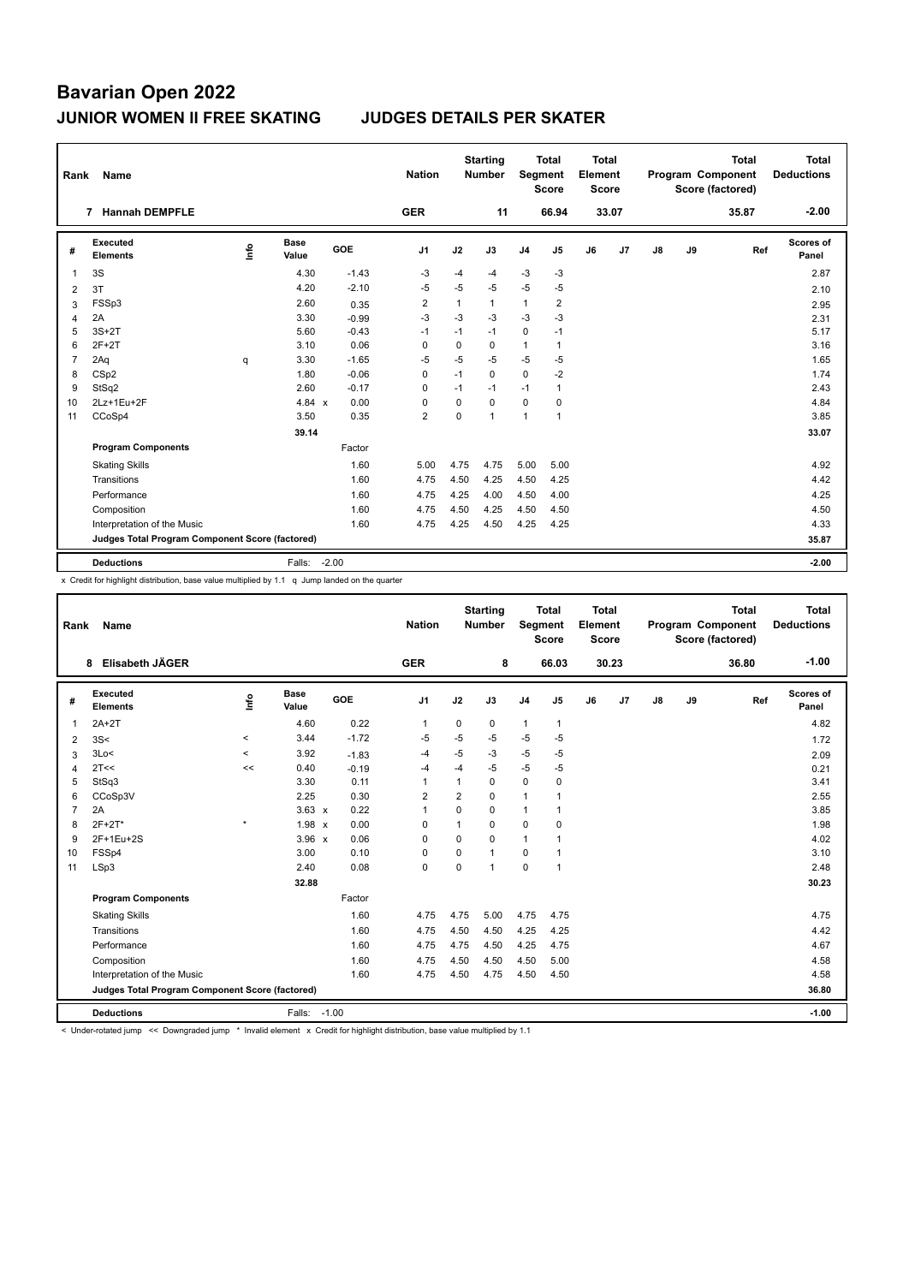| Rank           | Name                                            |      |                      |         | <b>Nation</b>  |              | <b>Starting</b><br><b>Number</b> | Segment        | <b>Total</b><br><b>Score</b> | <b>Total</b><br>Element<br><b>Score</b> |       |    |    | <b>Total</b><br>Program Component<br>Score (factored) | <b>Total</b><br><b>Deductions</b> |
|----------------|-------------------------------------------------|------|----------------------|---------|----------------|--------------|----------------------------------|----------------|------------------------------|-----------------------------------------|-------|----|----|-------------------------------------------------------|-----------------------------------|
|                | <b>Hannah DEMPFLE</b><br>7                      |      |                      |         | <b>GER</b>     |              | 11                               |                | 66.94                        |                                         | 33.07 |    |    | 35.87                                                 | $-2.00$                           |
| #              | <b>Executed</b><br><b>Elements</b>              | ١nf٥ | <b>Base</b><br>Value | GOE     | J <sub>1</sub> | J2           | J3                               | J <sub>4</sub> | J5                           | J6                                      | J7    | J8 | J9 | Ref                                                   | <b>Scores of</b><br>Panel         |
| 1              | 3S                                              |      | 4.30                 | $-1.43$ | $-3$           | $-4$         | -4                               | $-3$           | $-3$                         |                                         |       |    |    |                                                       | 2.87                              |
| 2              | 3T                                              |      | 4.20                 | $-2.10$ | $-5$           | $-5$         | -5                               | $-5$           | -5                           |                                         |       |    |    |                                                       | 2.10                              |
| 3              | FSSp3                                           |      | 2.60                 | 0.35    | $\overline{2}$ | $\mathbf{1}$ | $\mathbf{1}$                     | $\mathbf{1}$   | $\overline{2}$               |                                         |       |    |    |                                                       | 2.95                              |
| 4              | 2A                                              |      | 3.30                 | $-0.99$ | $-3$           | $-3$         | $-3$                             | $-3$           | -3                           |                                         |       |    |    |                                                       | 2.31                              |
| 5              | $3S+2T$                                         |      | 5.60                 | $-0.43$ | $-1$           | $-1$         | $-1$                             | 0              | $-1$                         |                                         |       |    |    |                                                       | 5.17                              |
| 6              | $2F+2T$                                         |      | 3.10                 | 0.06    | $\Omega$       | 0            | $\Omega$                         | $\mathbf{1}$   | 1                            |                                         |       |    |    |                                                       | 3.16                              |
| $\overline{7}$ | 2Aq                                             | q    | 3.30                 | $-1.65$ | $-5$           | $-5$         | $-5$                             | $-5$           | $-5$                         |                                         |       |    |    |                                                       | 1.65                              |
| 8              | CS <sub>p2</sub>                                |      | 1.80                 | $-0.06$ | 0              | $-1$         | $\Omega$                         | 0              | $-2$                         |                                         |       |    |    |                                                       | 1.74                              |
| 9              | StSq2                                           |      | 2.60                 | $-0.17$ | $\Omega$       | $-1$         | $-1$                             | $-1$           | 1                            |                                         |       |    |    |                                                       | 2.43                              |
| 10             | 2Lz+1Eu+2F                                      |      | 4.84 $x$             | 0.00    | $\Omega$       | $\Omega$     | $\Omega$                         | 0              | 0                            |                                         |       |    |    |                                                       | 4.84                              |
| 11             | CCoSp4                                          |      | 3.50                 | 0.35    | $\overline{2}$ | $\Omega$     | 1                                | 1              | $\mathbf{1}$                 |                                         |       |    |    |                                                       | 3.85                              |
|                |                                                 |      | 39.14                |         |                |              |                                  |                |                              |                                         |       |    |    |                                                       | 33.07                             |
|                | <b>Program Components</b>                       |      |                      | Factor  |                |              |                                  |                |                              |                                         |       |    |    |                                                       |                                   |
|                | <b>Skating Skills</b>                           |      |                      | 1.60    | 5.00           | 4.75         | 4.75                             | 5.00           | 5.00                         |                                         |       |    |    |                                                       | 4.92                              |
|                | Transitions                                     |      |                      | 1.60    | 4.75           | 4.50         | 4.25                             | 4.50           | 4.25                         |                                         |       |    |    |                                                       | 4.42                              |
|                | Performance                                     |      |                      | 1.60    | 4.75           | 4.25         | 4.00                             | 4.50           | 4.00                         |                                         |       |    |    |                                                       | 4.25                              |
|                | Composition                                     |      |                      | 1.60    | 4.75           | 4.50         | 4.25                             | 4.50           | 4.50                         |                                         |       |    |    |                                                       | 4.50                              |
|                | Interpretation of the Music                     |      |                      | 1.60    | 4.75           | 4.25         | 4.50                             | 4.25           | 4.25                         |                                         |       |    |    |                                                       | 4.33                              |
|                | Judges Total Program Component Score (factored) |      |                      |         |                |              |                                  |                |                              |                                         |       |    |    |                                                       | 35.87                             |
|                | <b>Deductions</b>                               |      | Falls:               | $-2.00$ |                |              |                                  |                |                              |                                         |       |    |    |                                                       | $-2.00$                           |

x Credit for highlight distribution, base value multiplied by 1.1 q Jump landed on the quarter

| Rank           | <b>Name</b>                                     |         |                      |            | <b>Nation</b>  |                | <b>Starting</b><br><b>Number</b> | Segment        | <b>Total</b><br><b>Score</b> | <b>Total</b><br>Element<br><b>Score</b> |                |               |    | <b>Total</b><br>Program Component<br>Score (factored) | <b>Total</b><br><b>Deductions</b> |
|----------------|-------------------------------------------------|---------|----------------------|------------|----------------|----------------|----------------------------------|----------------|------------------------------|-----------------------------------------|----------------|---------------|----|-------------------------------------------------------|-----------------------------------|
|                | Elisabeth JÄGER<br>8                            |         |                      |            | <b>GER</b>     |                | 8                                |                | 66.03                        |                                         | 30.23          |               |    | 36.80                                                 | $-1.00$                           |
| #              | Executed<br><b>Elements</b>                     | lnfo    | <b>Base</b><br>Value | <b>GOE</b> | J <sub>1</sub> | J2             | J3                               | J <sub>4</sub> | J <sub>5</sub>               | J6                                      | J <sub>7</sub> | $\mathsf{J}8$ | J9 | Ref                                                   | Scores of<br>Panel                |
| $\overline{1}$ | $2A+2T$                                         |         | 4.60                 | 0.22       | $\mathbf{1}$   | $\mathbf 0$    | 0                                | $\mathbf{1}$   | 1                            |                                         |                |               |    |                                                       | 4.82                              |
| 2              | 3S<                                             | $\,<$   | 3.44                 | $-1.72$    | $-5$           | $-5$           | $-5$                             | $-5$           | $-5$                         |                                         |                |               |    |                                                       | 1.72                              |
| 3              | 3Lo<                                            | $\prec$ | 3.92                 | $-1.83$    | -4             | $-5$           | -3                               | $-5$           | $-5$                         |                                         |                |               |    |                                                       | 2.09                              |
| $\overline{4}$ | 2T<<                                            | <<      | 0.40                 | $-0.19$    | -4             | $-4$           | $-5$                             | -5             | $-5$                         |                                         |                |               |    |                                                       | 0.21                              |
| 5              | StSq3                                           |         | 3.30                 | 0.11       | 1              | $\mathbf{1}$   | $\Omega$                         | $\mathbf 0$    | 0                            |                                         |                |               |    |                                                       | 3.41                              |
| 6              | CCoSp3V                                         |         | 2.25                 | 0.30       | $\overline{2}$ | $\overline{2}$ | $\Omega$                         | $\mathbf{1}$   |                              |                                         |                |               |    |                                                       | 2.55                              |
| $\overline{7}$ | 2A                                              |         | $3.63 \times$        | 0.22       | 1              | $\Omega$       | $\Omega$                         | $\mathbf{1}$   |                              |                                         |                |               |    |                                                       | 3.85                              |
| 8              | $2F+2T^*$                                       | $\star$ | $1.98 \times$        | 0.00       | 0              |                | 0                                | 0              | 0                            |                                         |                |               |    |                                                       | 1.98                              |
| 9              | 2F+1Eu+2S                                       |         | $3.96 \times$        | 0.06       | $\Omega$       | $\Omega$       | 0                                | $\mathbf{1}$   |                              |                                         |                |               |    |                                                       | 4.02                              |
| 10             | FSSp4                                           |         | 3.00                 | 0.10       | $\mathbf 0$    | $\Omega$       | $\mathbf{1}$                     | $\mathbf 0$    | $\overline{1}$               |                                         |                |               |    |                                                       | 3.10                              |
| 11             | LSp3                                            |         | 2.40                 | 0.08       | $\mathbf 0$    | $\Omega$       | $\mathbf{1}$                     | $\mathbf 0$    | 1                            |                                         |                |               |    |                                                       | 2.48                              |
|                |                                                 |         | 32.88                |            |                |                |                                  |                |                              |                                         |                |               |    |                                                       | 30.23                             |
|                | <b>Program Components</b>                       |         |                      | Factor     |                |                |                                  |                |                              |                                         |                |               |    |                                                       |                                   |
|                | <b>Skating Skills</b>                           |         |                      | 1.60       | 4.75           | 4.75           | 5.00                             | 4.75           | 4.75                         |                                         |                |               |    |                                                       | 4.75                              |
|                | Transitions                                     |         |                      | 1.60       | 4.75           | 4.50           | 4.50                             | 4.25           | 4.25                         |                                         |                |               |    |                                                       | 4.42                              |
|                | Performance                                     |         |                      | 1.60       | 4.75           | 4.75           | 4.50                             | 4.25           | 4.75                         |                                         |                |               |    |                                                       | 4.67                              |
|                | Composition                                     |         |                      | 1.60       | 4.75           | 4.50           | 4.50                             | 4.50           | 5.00                         |                                         |                |               |    |                                                       | 4.58                              |
|                | Interpretation of the Music                     |         |                      | 1.60       | 4.75           | 4.50           | 4.75                             | 4.50           | 4.50                         |                                         |                |               |    |                                                       | 4.58                              |
|                | Judges Total Program Component Score (factored) |         |                      |            |                |                |                                  |                |                              |                                         |                |               |    |                                                       | 36.80                             |
|                | <b>Deductions</b>                               |         | Falls: -1.00         |            |                |                |                                  |                |                              |                                         |                |               |    |                                                       | $-1.00$                           |

< Under-rotated jump << Downgraded jump \* Invalid element x Credit for highlight distribution, base value multiplied by 1.1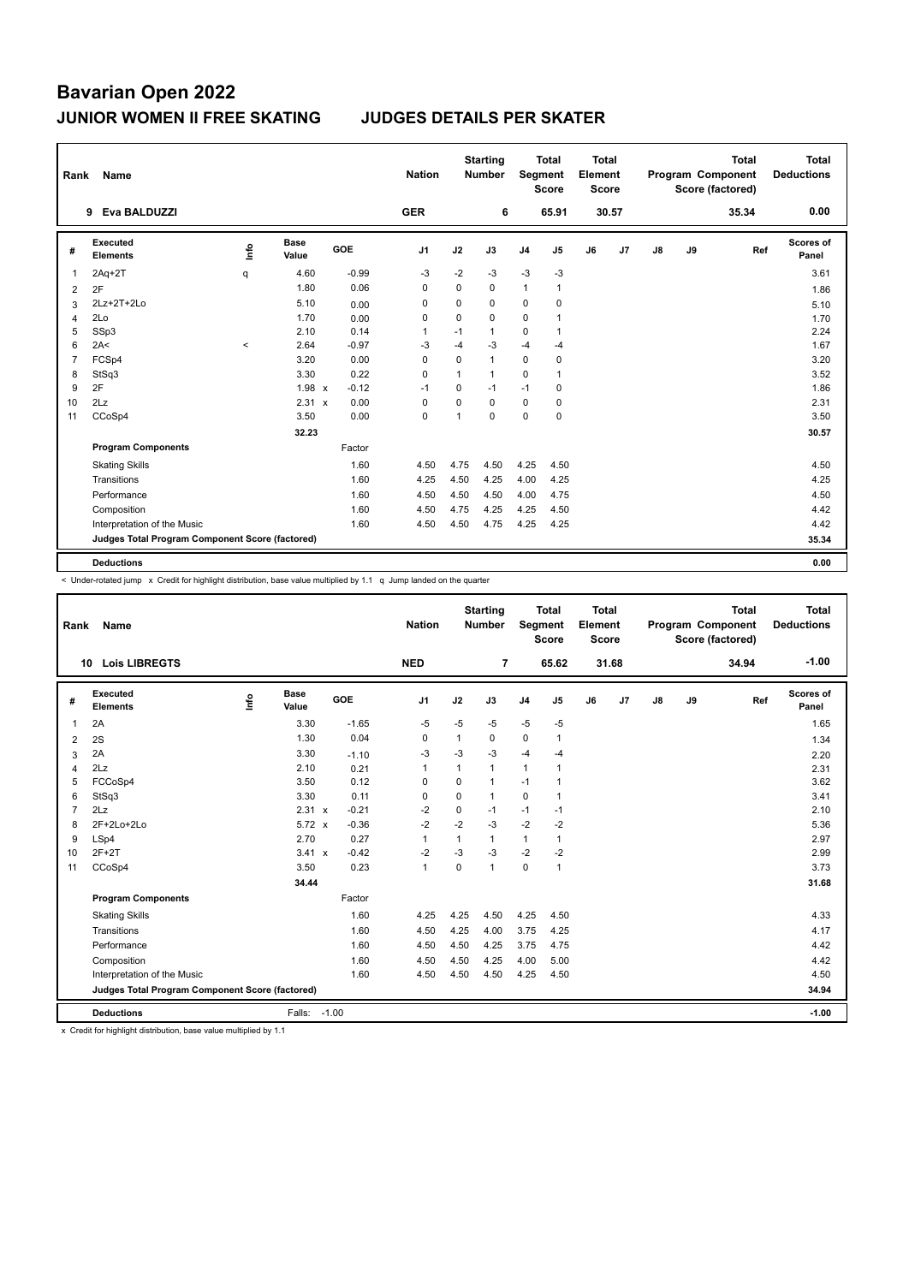| Rank           | Name                                            |         |                      |         | <b>Nation</b>  |                | <b>Starting</b><br><b>Number</b> | Segment        | <b>Total</b><br><b>Score</b> | <b>Total</b><br>Element<br><b>Score</b> |                |               |    | <b>Total</b><br>Program Component<br>Score (factored) | Total<br><b>Deductions</b> |
|----------------|-------------------------------------------------|---------|----------------------|---------|----------------|----------------|----------------------------------|----------------|------------------------------|-----------------------------------------|----------------|---------------|----|-------------------------------------------------------|----------------------------|
|                | Eva BALDUZZI<br>9                               |         |                      |         | <b>GER</b>     |                | 6                                |                | 65.91                        |                                         | 30.57          |               |    | 35.34                                                 | 0.00                       |
| #              | Executed<br><b>Elements</b>                     | ۴       | <b>Base</b><br>Value | GOE     | J <sub>1</sub> | J2             | J3                               | J <sub>4</sub> | J <sub>5</sub>               | J6                                      | J <sub>7</sub> | $\mathsf{J}8$ | J9 | Ref                                                   | Scores of<br>Panel         |
| 1              | $2Aq+2T$                                        | q       | 4.60                 | $-0.99$ | $-3$           | $-2$           | $-3$                             | $-3$           | $-3$                         |                                         |                |               |    |                                                       | 3.61                       |
| 2              | 2F                                              |         | 1.80                 | 0.06    | $\Omega$       | 0              | $\Omega$                         | $\mathbf{1}$   | $\mathbf{1}$                 |                                         |                |               |    |                                                       | 1.86                       |
| 3              | 2Lz+2T+2Lo                                      |         | 5.10                 | 0.00    | 0              | 0              | 0                                | $\mathbf 0$    | $\mathbf 0$                  |                                         |                |               |    |                                                       | 5.10                       |
| 4              | 2Lo                                             |         | 1.70                 | 0.00    | 0              | $\mathbf 0$    | $\mathbf 0$                      | $\mathbf 0$    | 1                            |                                         |                |               |    |                                                       | 1.70                       |
| 5              | SSp3                                            |         | 2.10                 | 0.14    | 1              | $-1$           | $\mathbf{1}$                     | $\mathbf 0$    | $\mathbf{1}$                 |                                         |                |               |    |                                                       | 2.24                       |
| 6              | 2A<                                             | $\prec$ | 2.64                 | $-0.97$ | -3             | $-4$           | $-3$                             | $-4$           | $-4$                         |                                         |                |               |    |                                                       | 1.67                       |
| $\overline{7}$ | FCSp4                                           |         | 3.20                 | 0.00    | 0              | $\mathbf 0$    | $\mathbf{1}$                     | $\mathbf 0$    | 0                            |                                         |                |               |    |                                                       | 3.20                       |
| 8              | StSq3                                           |         | 3.30                 | 0.22    | $\Omega$       | 1              | $\mathbf{1}$                     | $\Omega$       | 1                            |                                         |                |               |    |                                                       | 3.52                       |
| 9              | 2F                                              |         | $1.98 \times$        | $-0.12$ | $-1$           | $\mathbf 0$    | $-1$                             | $-1$           | $\mathbf 0$                  |                                         |                |               |    |                                                       | 1.86                       |
| 10             | 2Lz                                             |         | 2.31 x               | 0.00    | 0              | $\Omega$       | $\Omega$                         | $\mathbf 0$    | 0                            |                                         |                |               |    |                                                       | 2.31                       |
| 11             | CCoSp4                                          |         | 3.50                 | 0.00    | $\mathbf 0$    | $\overline{1}$ | $\mathbf 0$                      | $\mathbf 0$    | $\mathbf 0$                  |                                         |                |               |    |                                                       | 3.50                       |
|                |                                                 |         | 32.23                |         |                |                |                                  |                |                              |                                         |                |               |    |                                                       | 30.57                      |
|                | <b>Program Components</b>                       |         |                      | Factor  |                |                |                                  |                |                              |                                         |                |               |    |                                                       |                            |
|                | <b>Skating Skills</b>                           |         |                      | 1.60    | 4.50           | 4.75           | 4.50                             | 4.25           | 4.50                         |                                         |                |               |    |                                                       | 4.50                       |
|                | Transitions                                     |         |                      | 1.60    | 4.25           | 4.50           | 4.25                             | 4.00           | 4.25                         |                                         |                |               |    |                                                       | 4.25                       |
|                | Performance                                     |         |                      | 1.60    | 4.50           | 4.50           | 4.50                             | 4.00           | 4.75                         |                                         |                |               |    |                                                       | 4.50                       |
|                | Composition                                     |         |                      | 1.60    | 4.50           | 4.75           | 4.25                             | 4.25           | 4.50                         |                                         |                |               |    |                                                       | 4.42                       |
|                | Interpretation of the Music                     |         |                      | 1.60    | 4.50           | 4.50           | 4.75                             | 4.25           | 4.25                         |                                         |                |               |    |                                                       | 4.42                       |
|                | Judges Total Program Component Score (factored) |         |                      |         |                |                |                                  |                |                              |                                         |                |               |    |                                                       | 35.34                      |
|                | <b>Deductions</b>                               |         |                      |         |                |                |                                  |                |                              |                                         |                |               |    |                                                       | 0.00                       |

< Under-rotated jump x Credit for highlight distribution, base value multiplied by 1.1 q Jump landed on the quarter

| Rank           | Name                                            |      |                      |            | <b>Nation</b>  |             | <b>Starting</b><br><b>Number</b> | Segment        | Total<br><b>Score</b> | <b>Total</b><br>Element<br><b>Score</b> |       |    |    | <b>Total</b><br>Program Component<br>Score (factored) | Total<br><b>Deductions</b> |
|----------------|-------------------------------------------------|------|----------------------|------------|----------------|-------------|----------------------------------|----------------|-----------------------|-----------------------------------------|-------|----|----|-------------------------------------------------------|----------------------------|
|                | <b>Lois LIBREGTS</b><br>10                      |      |                      |            | <b>NED</b>     |             | $\overline{7}$                   |                | 65.62                 |                                         | 31.68 |    |    | 34.94                                                 | $-1.00$                    |
| #              | Executed<br><b>Elements</b>                     | Life | <b>Base</b><br>Value | <b>GOE</b> | J <sub>1</sub> | J2          | J3                               | J <sub>4</sub> | J5                    | J6                                      | J7    | J8 | J9 | Ref                                                   | Scores of<br>Panel         |
| 1              | 2A                                              |      | 3.30                 | $-1.65$    | $-5$           | $-5$        | $-5$                             | $-5$           | $-5$                  |                                         |       |    |    |                                                       | 1.65                       |
| 2              | 2S                                              |      | 1.30                 | 0.04       | 0              | 1           | $\Omega$                         | $\mathbf 0$    | $\mathbf{1}$          |                                         |       |    |    |                                                       | 1.34                       |
| 3              | 2A                                              |      | 3.30                 | $-1.10$    | -3             | $-3$        | $-3$                             | $-4$           | -4                    |                                         |       |    |    |                                                       | 2.20                       |
| 4              | 2Lz                                             |      | 2.10                 | 0.21       | $\mathbf{1}$   | 1           | $\mathbf{1}$                     | $\mathbf{1}$   | 1                     |                                         |       |    |    |                                                       | 2.31                       |
| 5              | FCCoSp4                                         |      | 3.50                 | 0.12       | 0              | $\Omega$    | $\mathbf{1}$                     | $-1$           | 1                     |                                         |       |    |    |                                                       | 3.62                       |
| 6              | StSq3                                           |      | 3.30                 | 0.11       | $\Omega$       | $\Omega$    | $\mathbf{1}$                     | $\mathbf 0$    | $\mathbf{1}$          |                                         |       |    |    |                                                       | 3.41                       |
| $\overline{7}$ | 2Lz                                             |      | 2.31 x               | $-0.21$    | $-2$           | $\mathbf 0$ | $-1$                             | $-1$           | $-1$                  |                                         |       |    |    |                                                       | 2.10                       |
| 8              | $2F+2Lo+2Lo$                                    |      | 5.72 x               | $-0.36$    | $-2$           | $-2$        | $-3$                             | $-2$           | $-2$                  |                                         |       |    |    |                                                       | 5.36                       |
| 9              | LSp4                                            |      | 2.70                 | 0.27       | $\mathbf{1}$   | 1           | 1                                | $\mathbf{1}$   | 1                     |                                         |       |    |    |                                                       | 2.97                       |
| 10             | $2F+2T$                                         |      | $3.41 \times$        | $-0.42$    | $-2$           | $-3$        | $-3$                             | $-2$           | $-2$                  |                                         |       |    |    |                                                       | 2.99                       |
| 11             | CCoSp4                                          |      | 3.50                 | 0.23       | $\mathbf{1}$   | $\Omega$    | $\mathbf{1}$                     | $\Omega$       | $\mathbf{1}$          |                                         |       |    |    |                                                       | 3.73                       |
|                |                                                 |      | 34.44                |            |                |             |                                  |                |                       |                                         |       |    |    |                                                       | 31.68                      |
|                | <b>Program Components</b>                       |      |                      | Factor     |                |             |                                  |                |                       |                                         |       |    |    |                                                       |                            |
|                | <b>Skating Skills</b>                           |      |                      | 1.60       | 4.25           | 4.25        | 4.50                             | 4.25           | 4.50                  |                                         |       |    |    |                                                       | 4.33                       |
|                | Transitions                                     |      |                      | 1.60       | 4.50           | 4.25        | 4.00                             | 3.75           | 4.25                  |                                         |       |    |    |                                                       | 4.17                       |
|                | Performance                                     |      |                      | 1.60       | 4.50           | 4.50        | 4.25                             | 3.75           | 4.75                  |                                         |       |    |    |                                                       | 4.42                       |
|                | Composition                                     |      |                      | 1.60       | 4.50           | 4.50        | 4.25                             | 4.00           | 5.00                  |                                         |       |    |    |                                                       | 4.42                       |
|                | Interpretation of the Music                     |      |                      | 1.60       | 4.50           | 4.50        | 4.50                             | 4.25           | 4.50                  |                                         |       |    |    |                                                       | 4.50                       |
|                | Judges Total Program Component Score (factored) |      |                      |            |                |             |                                  |                |                       |                                         |       |    |    |                                                       | 34.94                      |
|                | <b>Deductions</b>                               |      | Falls: -1.00         |            |                |             |                                  |                |                       |                                         |       |    |    |                                                       | $-1.00$                    |

x Credit for highlight distribution, base value multiplied by 1.1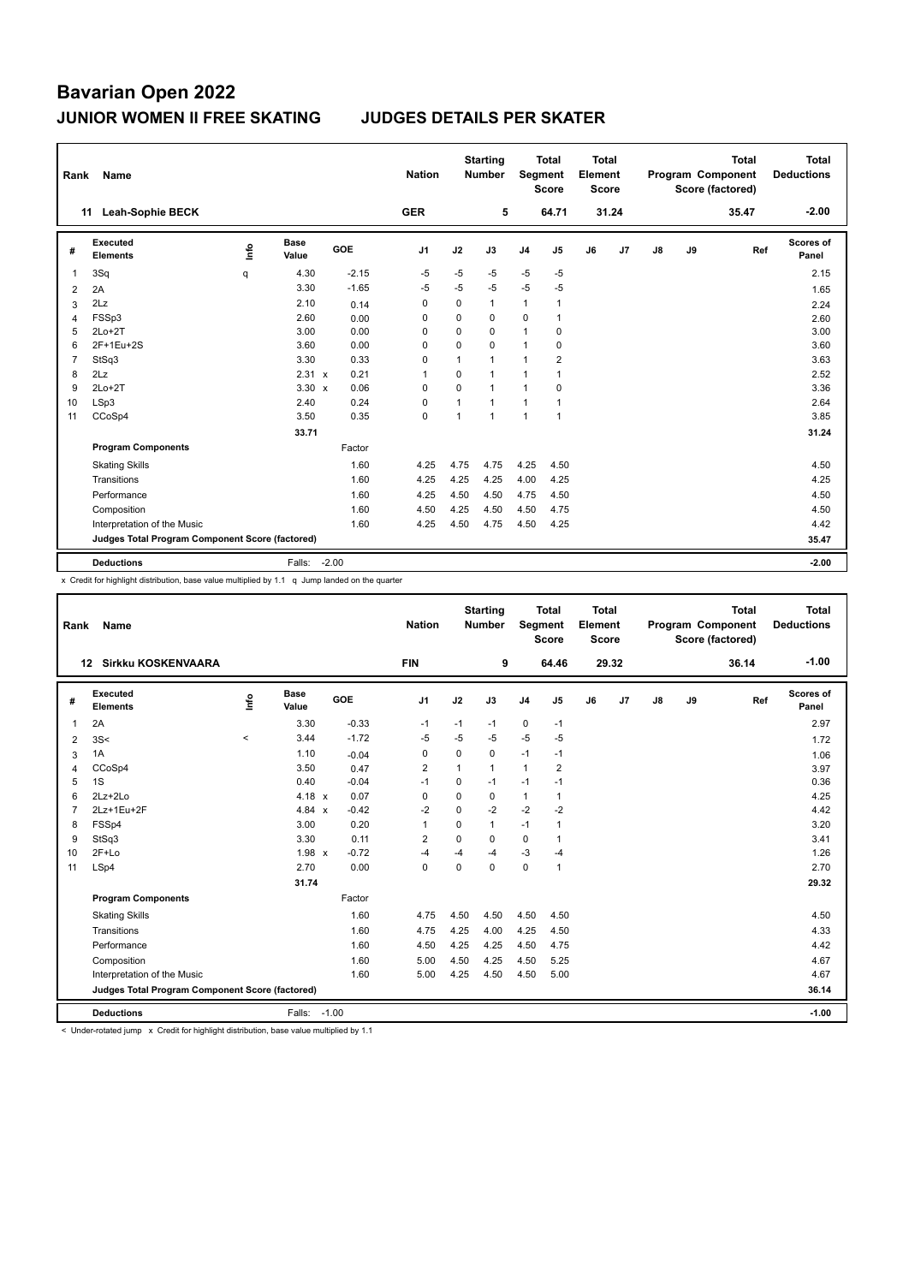| Rank | Name                                            |    |                      |         | <b>Nation</b>  |                | <b>Starting</b><br><b>Number</b> |              | <b>Total</b><br>Segment<br><b>Score</b> | <b>Total</b><br>Element<br><b>Score</b> |       |               |    | <b>Total</b><br>Program Component<br>Score (factored) | Total<br><b>Deductions</b> |
|------|-------------------------------------------------|----|----------------------|---------|----------------|----------------|----------------------------------|--------------|-----------------------------------------|-----------------------------------------|-------|---------------|----|-------------------------------------------------------|----------------------------|
|      | <b>Leah-Sophie BECK</b><br>11                   |    |                      |         | <b>GER</b>     |                | 5                                |              | 64.71                                   |                                         | 31.24 |               |    | 35.47                                                 | $-2.00$                    |
| #    | Executed<br><b>Elements</b>                     | ۴ů | <b>Base</b><br>Value | GOE     | J <sub>1</sub> | J2             | J3                               | J4           | J5                                      | J6                                      | J7    | $\mathsf{J}8$ | J9 | Ref                                                   | Scores of<br>Panel         |
| -1   | 3Sq                                             | q  | 4.30                 | $-2.15$ | $-5$           | $-5$           | $-5$                             | $-5$         | $-5$                                    |                                         |       |               |    |                                                       | 2.15                       |
| 2    | 2A                                              |    | 3.30                 | $-1.65$ | $-5$           | $-5$           | -5                               | $-5$         | -5                                      |                                         |       |               |    |                                                       | 1.65                       |
| 3    | 2Lz                                             |    | 2.10                 | 0.14    | 0              | 0              | $\mathbf{1}$                     | $\mathbf{1}$ | $\overline{1}$                          |                                         |       |               |    |                                                       | 2.24                       |
| 4    | FSSp3                                           |    | 2.60                 | 0.00    | 0              | 0              | 0                                | 0            | $\overline{1}$                          |                                         |       |               |    |                                                       | 2.60                       |
| 5    | $2Lo+2T$                                        |    | 3.00                 | 0.00    | 0              | 0              | 0                                | $\mathbf{1}$ | 0                                       |                                         |       |               |    |                                                       | 3.00                       |
| 6    | 2F+1Eu+2S                                       |    | 3.60                 | 0.00    | 0              | 0              | $\Omega$                         | $\mathbf{1}$ | 0                                       |                                         |       |               |    |                                                       | 3.60                       |
| 7    | StSq3                                           |    | 3.30                 | 0.33    | 0              | 1              | $\mathbf{1}$                     | 1            | 2                                       |                                         |       |               |    |                                                       | 3.63                       |
| 8    | 2Lz                                             |    | $2.31 \times$        | 0.21    | 1              | 0              | $\mathbf{1}$                     | $\mathbf{1}$ | $\overline{1}$                          |                                         |       |               |    |                                                       | 2.52                       |
| 9    | $2Lo+2T$                                        |    | $3.30 \times$        | 0.06    | $\Omega$       | 0              | $\mathbf{1}$                     | $\mathbf{1}$ | 0                                       |                                         |       |               |    |                                                       | 3.36                       |
| 10   | LSp3                                            |    | 2.40                 | 0.24    | 0              | $\overline{1}$ | $\overline{1}$                   | $\mathbf{1}$ | $\overline{1}$                          |                                         |       |               |    |                                                       | 2.64                       |
| 11   | CCoSp4                                          |    | 3.50                 | 0.35    | 0              | 1              | $\mathbf{1}$                     | $\mathbf{1}$ | $\overline{1}$                          |                                         |       |               |    |                                                       | 3.85                       |
|      |                                                 |    | 33.71                |         |                |                |                                  |              |                                         |                                         |       |               |    |                                                       | 31.24                      |
|      | <b>Program Components</b>                       |    |                      | Factor  |                |                |                                  |              |                                         |                                         |       |               |    |                                                       |                            |
|      | <b>Skating Skills</b>                           |    |                      | 1.60    | 4.25           | 4.75           | 4.75                             | 4.25         | 4.50                                    |                                         |       |               |    |                                                       | 4.50                       |
|      | Transitions                                     |    |                      | 1.60    | 4.25           | 4.25           | 4.25                             | 4.00         | 4.25                                    |                                         |       |               |    |                                                       | 4.25                       |
|      | Performance                                     |    |                      | 1.60    | 4.25           | 4.50           | 4.50                             | 4.75         | 4.50                                    |                                         |       |               |    |                                                       | 4.50                       |
|      | Composition                                     |    |                      | 1.60    | 4.50           | 4.25           | 4.50                             | 4.50         | 4.75                                    |                                         |       |               |    |                                                       | 4.50                       |
|      | Interpretation of the Music                     |    |                      | 1.60    | 4.25           | 4.50           | 4.75                             | 4.50         | 4.25                                    |                                         |       |               |    |                                                       | 4.42                       |
|      | Judges Total Program Component Score (factored) |    |                      |         |                |                |                                  |              |                                         |                                         |       |               |    |                                                       | 35.47                      |
|      | <b>Deductions</b>                               |    | Falls:               | $-2.00$ |                |                |                                  |              |                                         |                                         |       |               |    |                                                       | $-2.00$                    |

x Credit for highlight distribution, base value multiplied by 1.1 q Jump landed on the quarter

| Rank           | <b>Name</b>                                     |       |                      |         | <b>Nation</b>  |          | <b>Starting</b><br><b>Number</b> | Segment        | <b>Total</b><br><b>Score</b> | Total<br>Element<br><b>Score</b> |       |    |    | <b>Total</b><br>Program Component<br>Score (factored) | <b>Total</b><br><b>Deductions</b> |
|----------------|-------------------------------------------------|-------|----------------------|---------|----------------|----------|----------------------------------|----------------|------------------------------|----------------------------------|-------|----|----|-------------------------------------------------------|-----------------------------------|
|                | <b>Sirkku KOSKENVAARA</b><br>12                 |       |                      |         | <b>FIN</b>     |          | 9                                |                | 64.46                        |                                  | 29.32 |    |    | 36.14                                                 | $-1.00$                           |
| #              | Executed<br><b>Elements</b>                     | Life  | <b>Base</b><br>Value | GOE     | J <sub>1</sub> | J2       | J3                               | J <sub>4</sub> | J5                           | J6                               | J7    | J8 | J9 | Ref                                                   | Scores of<br>Panel                |
| $\overline{1}$ | 2A                                              |       | 3.30                 | $-0.33$ | $-1$           | $-1$     | $-1$                             | $\mathbf 0$    | $-1$                         |                                  |       |    |    |                                                       | 2.97                              |
| 2              | 3S<                                             | $\,<$ | 3.44                 | $-1.72$ | $-5$           | $-5$     | $-5$                             | $-5$           | $-5$                         |                                  |       |    |    |                                                       | 1.72                              |
| 3              | 1A                                              |       | 1.10                 | $-0.04$ | 0              | $\Omega$ | 0                                | $-1$           | $-1$                         |                                  |       |    |    |                                                       | 1.06                              |
| 4              | CCoSp4                                          |       | 3.50                 | 0.47    | $\overline{2}$ |          | $\mathbf{1}$                     | $\mathbf{1}$   | $\overline{2}$               |                                  |       |    |    |                                                       | 3.97                              |
| 5              | 1S                                              |       | 0.40                 | $-0.04$ | $-1$           | $\Omega$ | $-1$                             | $-1$           | $-1$                         |                                  |       |    |    |                                                       | 0.36                              |
| 6              | $2Lz+2Lo$                                       |       | 4.18 $x$             | 0.07    | $\Omega$       | $\Omega$ | $\Omega$                         | $\mathbf{1}$   | 1                            |                                  |       |    |    |                                                       | 4.25                              |
| $\overline{7}$ | 2Lz+1Eu+2F                                      |       | 4.84 $\times$        | $-0.42$ | $-2$           | $\Omega$ | $-2$                             | $-2$           | $-2$                         |                                  |       |    |    |                                                       | 4.42                              |
| 8              | FSSp4                                           |       | 3.00                 | 0.20    | 1              | $\Omega$ | $\mathbf{1}$                     | $-1$           | 1                            |                                  |       |    |    |                                                       | 3.20                              |
| 9              | StSq3                                           |       | 3.30                 | 0.11    | $\overline{2}$ | $\Omega$ | $\Omega$                         | 0              | 1                            |                                  |       |    |    |                                                       | 3.41                              |
| 10             | $2F+Lo$                                         |       | $1.98 \times$        | $-0.72$ | -4             | $-4$     | $-4$                             | $-3$           | $-4$                         |                                  |       |    |    |                                                       | 1.26                              |
| 11             | LSp4                                            |       | 2.70                 | 0.00    | $\mathbf 0$    | $\Omega$ | $\Omega$                         | $\mathbf 0$    | 1                            |                                  |       |    |    |                                                       | 2.70                              |
|                |                                                 |       | 31.74                |         |                |          |                                  |                |                              |                                  |       |    |    |                                                       | 29.32                             |
|                | <b>Program Components</b>                       |       |                      | Factor  |                |          |                                  |                |                              |                                  |       |    |    |                                                       |                                   |
|                | <b>Skating Skills</b>                           |       |                      | 1.60    | 4.75           | 4.50     | 4.50                             | 4.50           | 4.50                         |                                  |       |    |    |                                                       | 4.50                              |
|                | Transitions                                     |       |                      | 1.60    | 4.75           | 4.25     | 4.00                             | 4.25           | 4.50                         |                                  |       |    |    |                                                       | 4.33                              |
|                | Performance                                     |       |                      | 1.60    | 4.50           | 4.25     | 4.25                             | 4.50           | 4.75                         |                                  |       |    |    |                                                       | 4.42                              |
|                | Composition                                     |       |                      | 1.60    | 5.00           | 4.50     | 4.25                             | 4.50           | 5.25                         |                                  |       |    |    |                                                       | 4.67                              |
|                | Interpretation of the Music                     |       |                      | 1.60    | 5.00           | 4.25     | 4.50                             | 4.50           | 5.00                         |                                  |       |    |    |                                                       | 4.67                              |
|                | Judges Total Program Component Score (factored) |       |                      |         |                |          |                                  |                |                              |                                  |       |    |    |                                                       | 36.14                             |
|                | <b>Deductions</b>                               |       | Falls: -1.00         |         |                |          |                                  |                |                              |                                  |       |    |    |                                                       | $-1.00$                           |

< Under-rotated jump x Credit for highlight distribution, base value multiplied by 1.1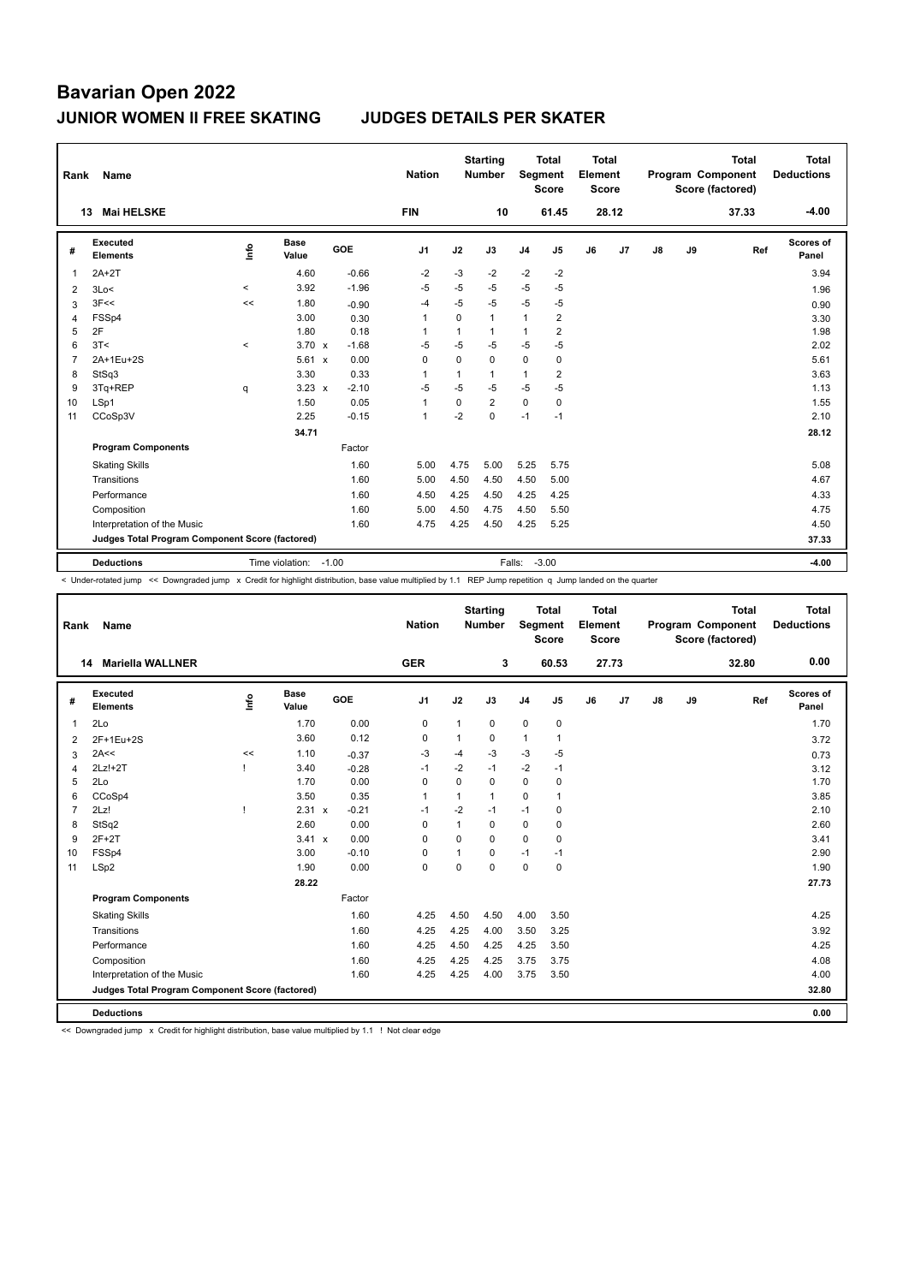| Rank | Name                                            |                          |                      |         | <b>Nation</b>  |              | <b>Starting</b><br><b>Number</b> |                | <b>Total</b><br>Segment<br><b>Score</b> | <b>Total</b><br>Element<br>Score |       |    |    | <b>Total</b><br>Program Component<br>Score (factored) | <b>Total</b><br><b>Deductions</b> |
|------|-------------------------------------------------|--------------------------|----------------------|---------|----------------|--------------|----------------------------------|----------------|-----------------------------------------|----------------------------------|-------|----|----|-------------------------------------------------------|-----------------------------------|
|      | <b>Mai HELSKE</b><br>13                         |                          |                      |         | <b>FIN</b>     |              | 10                               |                | 61.45                                   |                                  | 28.12 |    |    | 37.33                                                 | $-4.00$                           |
| #    | <b>Executed</b><br><b>Elements</b>              | ۴ů                       | <b>Base</b><br>Value | GOE     | J <sub>1</sub> | J2           | J3                               | J <sub>4</sub> | J5                                      | J6                               | J7    | J8 | J9 | Ref                                                   | <b>Scores of</b><br>Panel         |
| 1    | $2A+2T$                                         |                          | 4.60                 | $-0.66$ | $-2$           | $-3$         | $-2$                             | $-2$           | $-2$                                    |                                  |       |    |    |                                                       | 3.94                              |
| 2    | 3Lo<                                            | $\overline{\phantom{a}}$ | 3.92                 | $-1.96$ | $-5$           | $-5$         | $-5$                             | $-5$           | -5                                      |                                  |       |    |    |                                                       | 1.96                              |
| 3    | 3F<<                                            | <<                       | 1.80                 | $-0.90$ | $-4$           | $-5$         | $-5$                             | $-5$           | $-5$                                    |                                  |       |    |    |                                                       | 0.90                              |
| 4    | FSS <sub>p4</sub>                               |                          | 3.00                 | 0.30    | $\overline{1}$ | $\Omega$     | $\mathbf{1}$                     | 1              | 2                                       |                                  |       |    |    |                                                       | 3.30                              |
| 5    | 2F                                              |                          | 1.80                 | 0.18    | -1             | $\mathbf{1}$ | 1                                | 1              | $\overline{2}$                          |                                  |       |    |    |                                                       | 1.98                              |
| 6    | 3T<                                             | $\,<\,$                  | $3.70 \times$        | $-1.68$ | $-5$           | $-5$         | $-5$                             | $-5$           | -5                                      |                                  |       |    |    |                                                       | 2.02                              |
| 7    | 2A+1Eu+2S                                       |                          | 5.61 x               | 0.00    | 0              | $\mathbf 0$  | 0                                | $\mathbf 0$    | $\mathbf 0$                             |                                  |       |    |    |                                                       | 5.61                              |
| 8    | StSq3                                           |                          | 3.30                 | 0.33    | -1             | 1            | 1                                | 1              | 2                                       |                                  |       |    |    |                                                       | 3.63                              |
| 9    | 3Tq+REP                                         | q                        | $3.23 \times$        | $-2.10$ | $-5$           | $-5$         | $-5$                             | $-5$           | $-5$                                    |                                  |       |    |    |                                                       | 1.13                              |
| 10   | LSp1                                            |                          | 1.50                 | 0.05    | $\overline{1}$ | $\Omega$     | $\overline{2}$                   | $\mathbf 0$    | 0                                       |                                  |       |    |    |                                                       | 1.55                              |
| 11   | CCoSp3V                                         |                          | 2.25                 | $-0.15$ | $\mathbf{1}$   | $-2$         | $\Omega$                         | $-1$           | $-1$                                    |                                  |       |    |    |                                                       | 2.10                              |
|      |                                                 |                          | 34.71                |         |                |              |                                  |                |                                         |                                  |       |    |    |                                                       | 28.12                             |
|      | <b>Program Components</b>                       |                          |                      | Factor  |                |              |                                  |                |                                         |                                  |       |    |    |                                                       |                                   |
|      | <b>Skating Skills</b>                           |                          |                      | 1.60    | 5.00           | 4.75         | 5.00                             | 5.25           | 5.75                                    |                                  |       |    |    |                                                       | 5.08                              |
|      | Transitions                                     |                          |                      | 1.60    | 5.00           | 4.50         | 4.50                             | 4.50           | 5.00                                    |                                  |       |    |    |                                                       | 4.67                              |
|      | Performance                                     |                          |                      | 1.60    | 4.50           | 4.25         | 4.50                             | 4.25           | 4.25                                    |                                  |       |    |    |                                                       | 4.33                              |
|      | Composition                                     |                          |                      | 1.60    | 5.00           | 4.50         | 4.75                             | 4.50           | 5.50                                    |                                  |       |    |    |                                                       | 4.75                              |
|      | Interpretation of the Music                     |                          |                      | 1.60    | 4.75           | 4.25         | 4.50                             | 4.25           | 5.25                                    |                                  |       |    |    |                                                       | 4.50                              |
|      | Judges Total Program Component Score (factored) |                          |                      |         |                |              |                                  |                |                                         |                                  |       |    |    |                                                       | 37.33                             |
|      | <b>Deductions</b>                               |                          | Time violation:      | $-1.00$ |                |              |                                  | Falls:         | $-3.00$                                 |                                  |       |    |    |                                                       | $-4.00$                           |

< Under-rotated jump << Downgraded jump x Credit for highlight distribution, base value multiplied by 1.1 REP Jump repetition q Jump landed on the quarter

| Rank           | Name                                            |    |                      |         | <b>Nation</b>  |          | <b>Starting</b><br><b>Number</b> |                | Total<br>Segment<br><b>Score</b> | Total<br>Element<br><b>Score</b> |       |    |    | <b>Total</b><br>Program Component<br>Score (factored) | Total<br><b>Deductions</b> |
|----------------|-------------------------------------------------|----|----------------------|---------|----------------|----------|----------------------------------|----------------|----------------------------------|----------------------------------|-------|----|----|-------------------------------------------------------|----------------------------|
|                | <b>Mariella WALLNER</b><br>14                   |    |                      |         | <b>GER</b>     |          | 3                                |                | 60.53                            |                                  | 27.73 |    |    | 32.80                                                 | 0.00                       |
| #              | <b>Executed</b><br><b>Elements</b>              | ۴  | <b>Base</b><br>Value | GOE     | J <sub>1</sub> | J2       | J3                               | J <sub>4</sub> | J5                               | J6                               | J7    | J8 | J9 | Ref                                                   | <b>Scores of</b><br>Panel  |
| 1              | 2Lo                                             |    | 1.70                 | 0.00    | 0              | 1        | 0                                | $\mathbf 0$    | 0                                |                                  |       |    |    |                                                       | 1.70                       |
| 2              | 2F+1Eu+2S                                       |    | 3.60                 | 0.12    | 0              | 1        | $\Omega$                         | $\mathbf{1}$   | $\mathbf{1}$                     |                                  |       |    |    |                                                       | 3.72                       |
| 3              | 2A<<                                            | << | 1.10                 | $-0.37$ | $-3$           | $-4$     | $-3$                             | $-3$           | $-5$                             |                                  |       |    |    |                                                       | 0.73                       |
| 4              | $2Lz!+2T$                                       |    | 3.40                 | $-0.28$ | $-1$           | $-2$     | $-1$                             | $-2$           | $-1$                             |                                  |       |    |    |                                                       | 3.12                       |
| 5              | 2Lo                                             |    | 1.70                 | 0.00    | 0              | 0        | 0                                | $\mathbf 0$    | 0                                |                                  |       |    |    |                                                       | 1.70                       |
| 6              | CCoSp4                                          |    | 3.50                 | 0.35    | 1              | 1        | $\mathbf{1}$                     | $\Omega$       | 1                                |                                  |       |    |    |                                                       | 3.85                       |
| $\overline{7}$ | 2Lz!                                            |    | 2.31 x               | $-0.21$ | $-1$           | $-2$     | $-1$                             | $-1$           | $\mathbf 0$                      |                                  |       |    |    |                                                       | 2.10                       |
| 8              | StSq2                                           |    | 2.60                 | 0.00    | 0              | 1        | 0                                | $\mathbf 0$    | 0                                |                                  |       |    |    |                                                       | 2.60                       |
| 9              | $2F+2T$                                         |    | 3.41 x               | 0.00    | 0              | $\Omega$ | $\Omega$                         | $\mathbf 0$    | 0                                |                                  |       |    |    |                                                       | 3.41                       |
| 10             | FSSp4                                           |    | 3.00                 | $-0.10$ | 0              | 1        | $\Omega$                         | $-1$           | $-1$                             |                                  |       |    |    |                                                       | 2.90                       |
| 11             | LSp2                                            |    | 1.90                 | 0.00    | $\mathbf 0$    | 0        | $\mathbf 0$                      | 0              | $\mathbf 0$                      |                                  |       |    |    |                                                       | 1.90                       |
|                |                                                 |    | 28.22                |         |                |          |                                  |                |                                  |                                  |       |    |    |                                                       | 27.73                      |
|                | <b>Program Components</b>                       |    |                      | Factor  |                |          |                                  |                |                                  |                                  |       |    |    |                                                       |                            |
|                | <b>Skating Skills</b>                           |    |                      | 1.60    | 4.25           | 4.50     | 4.50                             | 4.00           | 3.50                             |                                  |       |    |    |                                                       | 4.25                       |
|                | Transitions                                     |    |                      | 1.60    | 4.25           | 4.25     | 4.00                             | 3.50           | 3.25                             |                                  |       |    |    |                                                       | 3.92                       |
|                | Performance                                     |    |                      | 1.60    | 4.25           | 4.50     | 4.25                             | 4.25           | 3.50                             |                                  |       |    |    |                                                       | 4.25                       |
|                | Composition                                     |    |                      | 1.60    | 4.25           | 4.25     | 4.25                             | 3.75           | 3.75                             |                                  |       |    |    |                                                       | 4.08                       |
|                | Interpretation of the Music                     |    |                      | 1.60    | 4.25           | 4.25     | 4.00                             | 3.75           | 3.50                             |                                  |       |    |    |                                                       | 4.00                       |
|                | Judges Total Program Component Score (factored) |    |                      |         |                |          |                                  |                |                                  |                                  |       |    |    |                                                       | 32.80                      |
|                | <b>Deductions</b>                               |    |                      |         |                |          |                                  |                |                                  |                                  |       |    |    |                                                       | 0.00                       |

<< Downgraded jump x Credit for highlight distribution, base value multiplied by 1.1 ! Not clear edge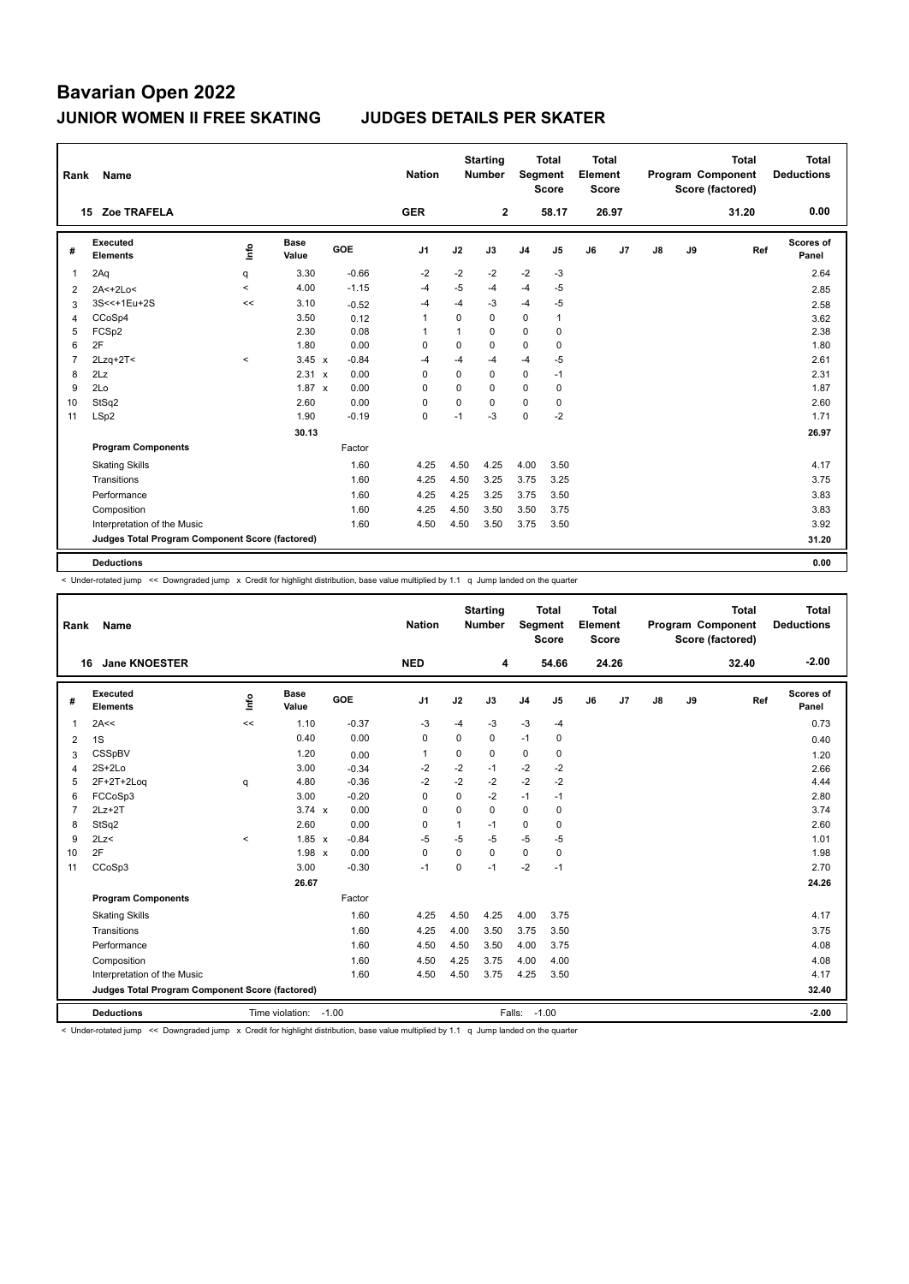| Rank | Name                                            |         |                      |         | <b>Nation</b>  |             | <b>Starting</b><br><b>Number</b> |                | <b>Total</b><br>Segment<br><b>Score</b> | <b>Total</b><br>Element<br><b>Score</b> |       |    |    | <b>Total</b><br><b>Program Component</b><br>Score (factored) | <b>Total</b><br><b>Deductions</b> |
|------|-------------------------------------------------|---------|----------------------|---------|----------------|-------------|----------------------------------|----------------|-----------------------------------------|-----------------------------------------|-------|----|----|--------------------------------------------------------------|-----------------------------------|
|      | Zoe TRAFELA<br>15                               |         |                      |         | <b>GER</b>     |             | $\mathbf{2}$                     |                | 58.17                                   |                                         | 26.97 |    |    | 31.20                                                        | 0.00                              |
| #    | <b>Executed</b><br><b>Elements</b>              | ۴ů      | <b>Base</b><br>Value | GOE     | J <sub>1</sub> | J2          | J3                               | J <sub>4</sub> | J5                                      | J6                                      | J7    | J8 | J9 | Ref                                                          | <b>Scores of</b><br>Panel         |
| 1    | 2Aq                                             | q       | 3.30                 | $-0.66$ | $-2$           | $-2$        | $-2$                             | $-2$           | $-3$                                    |                                         |       |    |    |                                                              | 2.64                              |
| 2    | 2A<+2Lo<                                        | $\,<\,$ | 4.00                 | $-1.15$ | $-4$           | $-5$        | $-4$                             | $-4$           | $-5$                                    |                                         |       |    |    |                                                              | 2.85                              |
| 3    | 3S<<+1Eu+2S                                     | <<      | 3.10                 | $-0.52$ | $-4$           | $-4$        | $-3$                             | $-4$           | $-5$                                    |                                         |       |    |    |                                                              | 2.58                              |
| 4    | CCoSp4                                          |         | 3.50                 | 0.12    | 1              | $\mathbf 0$ | $\mathbf 0$                      | $\mathbf 0$    | 1                                       |                                         |       |    |    |                                                              | 3.62                              |
| 5    | FCSp2                                           |         | 2.30                 | 0.08    |                | 1           | 0                                | $\mathbf 0$    | 0                                       |                                         |       |    |    |                                                              | 2.38                              |
| 6    | 2F                                              |         | 1.80                 | 0.00    | 0              | $\mathbf 0$ | 0                                | $\mathbf 0$    | 0                                       |                                         |       |    |    |                                                              | 1.80                              |
|      | $2Lzq+2T<$                                      | $\,<\,$ | $3.45 \times$        | $-0.84$ | $-4$           | $-4$        | $-4$                             | $-4$           | $-5$                                    |                                         |       |    |    |                                                              | 2.61                              |
| 8    | 2Lz                                             |         | 2.31 x               | 0.00    | 0              | $\mathbf 0$ | $\mathbf 0$                      | $\mathbf 0$    | $-1$                                    |                                         |       |    |    |                                                              | 2.31                              |
| 9    | 2Lo                                             |         | $1.87 \times$        | 0.00    | 0              | $\mathbf 0$ | $\Omega$                         | $\mathbf 0$    | 0                                       |                                         |       |    |    |                                                              | 1.87                              |
| 10   | StSq2                                           |         | 2.60                 | 0.00    | 0              | $\mathbf 0$ | 0                                | $\mathbf 0$    | 0                                       |                                         |       |    |    |                                                              | 2.60                              |
| 11   | LSp2                                            |         | 1.90                 | $-0.19$ | 0              | $-1$        | $-3$                             | $\mathbf 0$    | $-2$                                    |                                         |       |    |    |                                                              | 1.71                              |
|      |                                                 |         | 30.13                |         |                |             |                                  |                |                                         |                                         |       |    |    |                                                              | 26.97                             |
|      | <b>Program Components</b>                       |         |                      | Factor  |                |             |                                  |                |                                         |                                         |       |    |    |                                                              |                                   |
|      | <b>Skating Skills</b>                           |         |                      | 1.60    | 4.25           | 4.50        | 4.25                             | 4.00           | 3.50                                    |                                         |       |    |    |                                                              | 4.17                              |
|      | Transitions                                     |         |                      | 1.60    | 4.25           | 4.50        | 3.25                             | 3.75           | 3.25                                    |                                         |       |    |    |                                                              | 3.75                              |
|      | Performance                                     |         |                      | 1.60    | 4.25           | 4.25        | 3.25                             | 3.75           | 3.50                                    |                                         |       |    |    |                                                              | 3.83                              |
|      | Composition                                     |         |                      | 1.60    | 4.25           | 4.50        | 3.50                             | 3.50           | 3.75                                    |                                         |       |    |    |                                                              | 3.83                              |
|      | Interpretation of the Music                     |         |                      | 1.60    | 4.50           | 4.50        | 3.50                             | 3.75           | 3.50                                    |                                         |       |    |    |                                                              | 3.92                              |
|      | Judges Total Program Component Score (factored) |         |                      |         |                |             |                                  |                |                                         |                                         |       |    |    |                                                              | 31.20                             |
|      | <b>Deductions</b>                               |         |                      |         |                |             |                                  |                |                                         |                                         |       |    |    |                                                              | 0.00                              |

< Under-rotated jump << Downgraded jump x Credit for highlight distribution, base value multiplied by 1.1 q Jump landed on the quarter

| Rank           | Name                                            |                   |                      |         | <b>Nation</b>  |             | <b>Starting</b><br>Number | <b>Segment</b> | <b>Total</b><br><b>Score</b> | <b>Total</b><br>Element<br>Score |                |               |    | <b>Total</b><br>Program Component<br>Score (factored) | Total<br><b>Deductions</b> |
|----------------|-------------------------------------------------|-------------------|----------------------|---------|----------------|-------------|---------------------------|----------------|------------------------------|----------------------------------|----------------|---------------|----|-------------------------------------------------------|----------------------------|
|                | <b>Jane KNOESTER</b><br>16                      |                   |                      |         | <b>NED</b>     |             | 4                         |                | 54.66                        |                                  | 24.26          |               |    | 32.40                                                 | $-2.00$                    |
| #              | Executed<br><b>Elements</b>                     | ۴ů                | <b>Base</b><br>Value | GOE     | J <sub>1</sub> | J2          | J3                        | J <sub>4</sub> | J5                           | J6                               | J <sub>7</sub> | $\mathsf{J}8$ | J9 | Ref                                                   | Scores of<br>Panel         |
| 1              | 2A<<                                            | $\prec$           | 1.10                 | $-0.37$ | $-3$           | $-4$        | $-3$                      | $-3$           | $-4$                         |                                  |                |               |    |                                                       | 0.73                       |
| 2              | 1S                                              |                   | 0.40                 | 0.00    | 0              | $\Omega$    | $\Omega$                  | $-1$           | 0                            |                                  |                |               |    |                                                       | 0.40                       |
| 3              | CSSpBV                                          |                   | 1.20                 | 0.00    | $\overline{1}$ | 0           | 0                         | 0              | $\mathbf 0$                  |                                  |                |               |    |                                                       | 1.20                       |
| 4              | $2S+2Lo$                                        |                   | 3.00                 | $-0.34$ | -2             | $-2$        | $-1$                      | $-2$           | $-2$                         |                                  |                |               |    |                                                       | 2.66                       |
| 5              | 2F+2T+2Log                                      | q                 | 4.80                 | $-0.36$ | $-2$           | $-2$        | $-2$                      | $-2$           | $-2$                         |                                  |                |               |    |                                                       | 4.44                       |
| 6              | FCCoSp3                                         |                   | 3.00                 | $-0.20$ | 0              | $\mathbf 0$ | $-2$                      | $-1$           | $-1$                         |                                  |                |               |    |                                                       | 2.80                       |
| $\overline{7}$ | $2Lz+2T$                                        |                   | $3.74 \times$        | 0.00    | $\mathbf 0$    | $\Omega$    | $\mathbf 0$               | $\mathbf 0$    | 0                            |                                  |                |               |    |                                                       | 3.74                       |
| 8              | StSq2                                           |                   | 2.60                 | 0.00    | 0              | 1           | $-1$                      | $\mathbf 0$    | 0                            |                                  |                |               |    |                                                       | 2.60                       |
| 9              | 2Lz                                             | $\prec$           | $1.85 \times$        | $-0.84$ | $-5$           | $-5$        | -5                        | $-5$           | -5                           |                                  |                |               |    |                                                       | 1.01                       |
| 10             | 2F                                              |                   | 1.98 x               | 0.00    | $\mathbf 0$    | $\Omega$    | $\Omega$                  | $\Omega$       | 0                            |                                  |                |               |    |                                                       | 1.98                       |
| 11             | CCoSp3                                          |                   | 3.00                 | $-0.30$ | $-1$           | 0           | $-1$                      | $-2$           | $-1$                         |                                  |                |               |    |                                                       | 2.70                       |
|                |                                                 |                   | 26.67                |         |                |             |                           |                |                              |                                  |                |               |    |                                                       | 24.26                      |
|                | <b>Program Components</b>                       |                   |                      | Factor  |                |             |                           |                |                              |                                  |                |               |    |                                                       |                            |
|                | <b>Skating Skills</b>                           |                   |                      | 1.60    | 4.25           | 4.50        | 4.25                      | 4.00           | 3.75                         |                                  |                |               |    |                                                       | 4.17                       |
|                | Transitions                                     |                   |                      | 1.60    | 4.25           | 4.00        | 3.50                      | 3.75           | 3.50                         |                                  |                |               |    |                                                       | 3.75                       |
|                | Performance                                     |                   |                      | 1.60    | 4.50           | 4.50        | 3.50                      | 4.00           | 3.75                         |                                  |                |               |    |                                                       | 4.08                       |
|                | Composition                                     |                   |                      | 1.60    | 4.50           | 4.25        | 3.75                      | 4.00           | 4.00                         |                                  |                |               |    |                                                       | 4.08                       |
|                | Interpretation of the Music                     |                   |                      | 1.60    | 4.50           | 4.50        | 3.75                      | 4.25           | 3.50                         |                                  |                |               |    |                                                       | 4.17                       |
|                | Judges Total Program Component Score (factored) |                   |                      |         |                |             |                           |                |                              |                                  |                |               |    |                                                       | 32.40                      |
|                | <b>Deductions</b>                               | $-1.00$<br>Falls: |                      |         |                |             |                           |                |                              |                                  |                | $-2.00$       |    |                                                       |                            |

< Under-rotated jump << Downgraded jump x Credit for highlight distribution, base value multiplied by 1.1 q Jump landed on the quarter